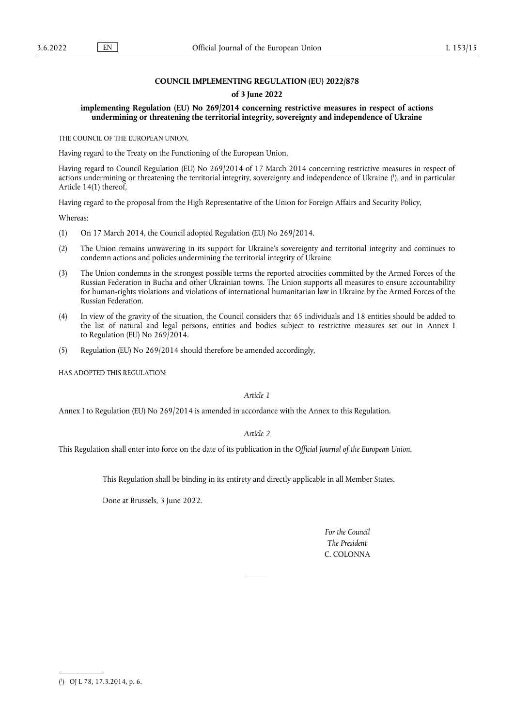## **COUNCIL IMPLEMENTING REGULATION (EU) 2022/878**

#### **of 3 June 2022**

## **implementing Regulation (EU) No 269/2014 concerning restrictive measures in respect of actions undermining or threatening the territorial integrity, sovereignty and independence of Ukraine**

THE COUNCIL OF THE EUROPEAN UNION,

Having regard to the Treaty on the Functioning of the European Union,

<span id="page-0-1"></span>Having regard to Council Regulation (EU) No 269/2014 of 17 March 2014 concerning restrictive measures in respect of actions undermining or threatening the territorial integrity, sovereignty and independence of Ukraine ( 1 [\),](#page-0-0) and in particular Article 14(1) thereof,

Having regard to the proposal from the High Representative of the Union for Foreign Affairs and Security Policy,

Whereas:

- (1) On 17 March 2014, the Council adopted Regulation (EU) No 269/2014.
- (2) The Union remains unwavering in its support for Ukraine's sovereignty and territorial integrity and continues to condemn actions and policies undermining the territorial integrity of Ukraine
- (3) The Union condemns in the strongest possible terms the reported atrocities committed by the Armed Forces of the Russian Federation in Bucha and other Ukrainian towns. The Union supports all measures to ensure accountability for human-rights violations and violations of international humanitarian law in Ukraine by the Armed Forces of the Russian Federation.
- (4) In view of the gravity of the situation, the Council considers that 65 individuals and 18 entities should be added to the list of natural and legal persons, entities and bodies subject to restrictive measures set out in Annex I to Regulation (EU) No 269/2014.
- (5) Regulation (EU) No 269/2014 should therefore be amended accordingly,

HAS ADOPTED THIS REGULATION:

## *Article 1*

Annex I to Regulation (EU) No 269/2014 is amended in accordance with the Annex to this Regulation.

#### *Article 2*

This Regulation shall enter into force on the date of its publication in the *Official Journal of the European Union*.

This Regulation shall be binding in its entirety and directly applicable in all Member States.

Done at Brussels, 3 June 2022.

*For the Council The President* C. COLONNA

<span id="page-0-0"></span>[<sup>\(</sup>](#page-0-1) 1 ) OJ L 78, 17.3.2014, p. 6.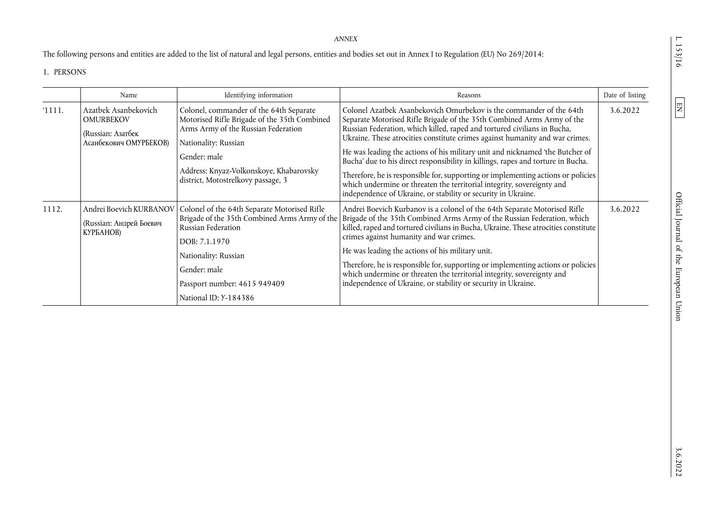*ANNEX* 

The following persons and entities are added to the list of natural and legal persons, entities and bodies set out in Annex I to Regulation (EU) No 269/2014:

# 1. PERSONS

|        | Name                                                                                    | Identifying information                                                                                                                                                                                                                                 | Reasons                                                                                                                                                                                                                                                                                                                                                                                                                                                                                                                                                                                                                                                                                                       | Date of listing |
|--------|-----------------------------------------------------------------------------------------|---------------------------------------------------------------------------------------------------------------------------------------------------------------------------------------------------------------------------------------------------------|---------------------------------------------------------------------------------------------------------------------------------------------------------------------------------------------------------------------------------------------------------------------------------------------------------------------------------------------------------------------------------------------------------------------------------------------------------------------------------------------------------------------------------------------------------------------------------------------------------------------------------------------------------------------------------------------------------------|-----------------|
| '1111. | Azatbek Asanbekovich<br><b>OMURBEKOV</b><br>(Russian: Азатбек<br>Асанбекович ОМУРБЕКОВ) | Colonel, commander of the 64th Separate<br>Motorised Rifle Brigade of the 35th Combined<br>Arms Army of the Russian Federation<br>Nationality: Russian<br>Gender: male<br>Address: Knyaz-Volkonskoye, Khabarovsky<br>district, Motostrelkovy passage, 3 | Colonel Azatbek Asanbekovich Omurbekov is the commander of the 64th<br>Separate Motorised Rifle Brigade of the 35th Combined Arms Army of the<br>Russian Federation, which killed, raped and tortured civilians in Bucha,<br>Ukraine. These atrocities constitute crimes against humanity and war crimes.<br>He was leading the actions of his military unit and nicknamed 'the Butcher of<br>Bucha' due to his direct responsibility in killings, rapes and torture in Bucha.<br>Therefore, he is responsible for, supporting or implementing actions or policies<br>which undermine or threaten the territorial integrity, sovereignty and<br>independence of Ukraine, or stability or security in Ukraine. | 3.6.2022        |
| 1112.  | Andrei Boevich KURBANOV<br>(Russian: Андрей Боевич<br>КУРБАНОВ)                         | Colonel of the 64th Separate Motorised Rifle<br>Brigade of the 35th Combined Arms Army of the<br>Russian Federation<br>DOB: 7.1.1970<br>Nationality: Russian<br>Gender: male<br>Passport number: 4615 949409<br>National ID: Y-184386                   | Andrei Boevich Kurbanov is a colonel of the 64th Separate Motorised Rifle<br>Brigade of the 35th Combined Arms Army of the Russian Federation, which<br>killed, raped and tortured civilians in Bucha, Ukraine. These atrocities constitute<br>crimes against humanity and war crimes.<br>He was leading the actions of his military unit.<br>Therefore, he is responsible for, supporting or implementing actions or policies<br>which undermine or threaten the territorial integrity, sovereignty and<br>independence of Ukraine, or stability or security in Ukraine.                                                                                                                                     | 3.6.2022        |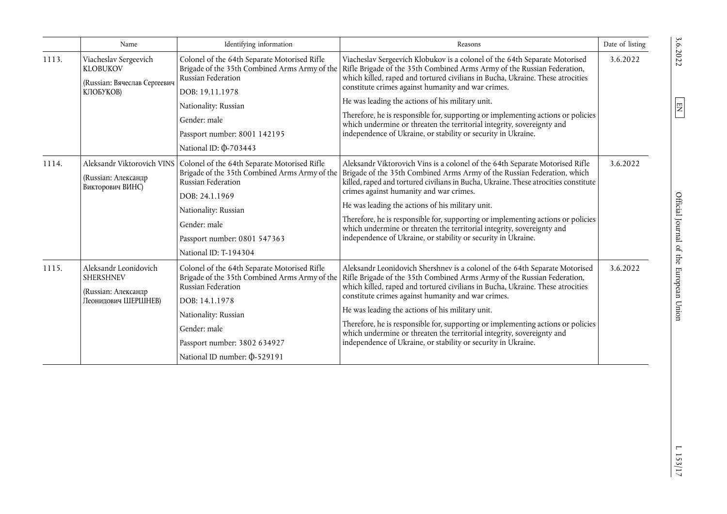|       | Name                                                                                  | Identifying information                                                                                                                                       | Reasons                                                                                                                                                                                                                                                                                                                                                                                                                                                                                                                                                                                                                        | Date of listing |
|-------|---------------------------------------------------------------------------------------|---------------------------------------------------------------------------------------------------------------------------------------------------------------|--------------------------------------------------------------------------------------------------------------------------------------------------------------------------------------------------------------------------------------------------------------------------------------------------------------------------------------------------------------------------------------------------------------------------------------------------------------------------------------------------------------------------------------------------------------------------------------------------------------------------------|-----------------|
| 1113. | Viacheslav Sergeevich<br><b>KLOBUKOV</b><br>(Russian: Вячеслав Сергеевич<br>КЛОБУКОВ) | Colonel of the 64th Separate Motorised Rifle<br>Russian Federation<br>DOB: 19.11.1978<br>Nationality: Russian<br>Gender: male<br>Passport number: 8001 142195 | Viacheslav Sergeevich Klobukov is a colonel of the 64th Separate Motorised<br>Brigade of the 35th Combined Arms Army of the Rifle Brigade of the 35th Combined Arms Army of the Russian Federation,<br>which killed, raped and tortured civilians in Bucha, Ukraine. These atrocities<br>constitute crimes against humanity and war crimes.<br>He was leading the actions of his military unit.<br>Therefore, he is responsible for, supporting or implementing actions or policies<br>which undermine or threaten the territorial integrity, sovereignty and<br>independence of Ukraine, or stability or security in Ukraine. | 3.6.2022        |
|       |                                                                                       | National ID: $\Phi$ -703443                                                                                                                                   |                                                                                                                                                                                                                                                                                                                                                                                                                                                                                                                                                                                                                                |                 |
| 1114. | Aleksandr Viktorovich VINS<br>(Russian: Александр<br>Викторович ВИНС)                 | Colonel of the 64th Separate Motorised Rifle<br>Brigade of the 35th Combined Arms Army of the<br>Russian Federation<br>DOB: 24.1.1969                         | Aleksandr Viktorovich Vins is a colonel of the 64th Separate Motorised Rifle<br>Brigade of the 35th Combined Arms Army of the Russian Federation, which<br>killed, raped and tortured civilians in Bucha, Ukraine. These atrocities constitute<br>crimes against humanity and war crimes.                                                                                                                                                                                                                                                                                                                                      | 3.6.2022        |
|       |                                                                                       | Nationality: Russian                                                                                                                                          | He was leading the actions of his military unit.<br>Therefore, he is responsible for, supporting or implementing actions or policies<br>which undermine or threaten the territorial integrity, sovereignty and<br>independence of Ukraine, or stability or security in Ukraine.                                                                                                                                                                                                                                                                                                                                                |                 |
|       |                                                                                       | Gender: male<br>Passport number: 0801 547363                                                                                                                  |                                                                                                                                                                                                                                                                                                                                                                                                                                                                                                                                                                                                                                |                 |
|       |                                                                                       | National ID: T-194304                                                                                                                                         |                                                                                                                                                                                                                                                                                                                                                                                                                                                                                                                                                                                                                                |                 |
| 1115. | Aleksandr Leonidovich<br><b>SHERSHNEV</b><br>(Russian: Александр                      | Colonel of the 64th Separate Motorised Rifle<br>Brigade of the 35th Combined Arms Army of the<br>Russian Federation                                           | Aleksandr Leonidovich Shershnev is a colonel of the 64th Separate Motorised<br>Rifle Brigade of the 35th Combined Arms Army of the Russian Federation,<br>which killed, raped and tortured civilians in Bucha, Ukraine. These atrocities                                                                                                                                                                                                                                                                                                                                                                                       | 3.6.2022        |
|       | Пеонидович ШЕРШНЕВ)                                                                   | DOB: 14.1.1978                                                                                                                                                | constitute crimes against humanity and war crimes.                                                                                                                                                                                                                                                                                                                                                                                                                                                                                                                                                                             |                 |
|       |                                                                                       | Nationality: Russian                                                                                                                                          | He was leading the actions of his military unit.                                                                                                                                                                                                                                                                                                                                                                                                                                                                                                                                                                               |                 |
|       |                                                                                       | Gender: male                                                                                                                                                  | Therefore, he is responsible for, supporting or implementing actions or policies<br>which undermine or threaten the territorial integrity, sovereignty and                                                                                                                                                                                                                                                                                                                                                                                                                                                                     |                 |
|       |                                                                                       | Passport number: 3802 634927                                                                                                                                  | independence of Ukraine, or stability or security in Ukraine.                                                                                                                                                                                                                                                                                                                                                                                                                                                                                                                                                                  |                 |
|       |                                                                                       | National ID number: 0-529191                                                                                                                                  |                                                                                                                                                                                                                                                                                                                                                                                                                                                                                                                                                                                                                                |                 |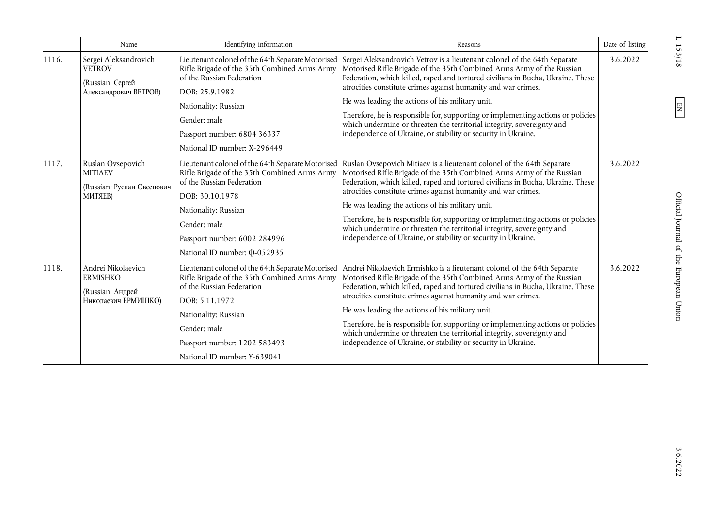|       | Name                                                                                                                                                                   | Identifying information                                                                                                        | Reasons                                                                                                                                                                                                                                                                                                                                                                                                                                                                                          | Date of listing |
|-------|------------------------------------------------------------------------------------------------------------------------------------------------------------------------|--------------------------------------------------------------------------------------------------------------------------------|--------------------------------------------------------------------------------------------------------------------------------------------------------------------------------------------------------------------------------------------------------------------------------------------------------------------------------------------------------------------------------------------------------------------------------------------------------------------------------------------------|-----------------|
| 1116. | Sergei Aleksandrovich<br><b>VETROV</b><br>(Russian: Сергей<br>Александрович ВЕТРОВ)                                                                                    | Rifle Brigade of the 35th Combined Arms Army<br>of the Russian Federation<br>DOB: 25.9.1982                                    | Lieutenant colonel of the 64th Separate Motorised Sergei Aleksandrovich Vetrov is a lieutenant colonel of the 64th Separate<br>Motorised Rifle Brigade of the 35th Combined Arms Army of the Russian<br>Federation, which killed, raped and tortured civilians in Bucha, Ukraine. These<br>atrocities constitute crimes against humanity and war crimes.<br>He was leading the actions of his military unit.<br>Therefore, he is responsible for, supporting or implementing actions or policies | 3.6.2022        |
|       |                                                                                                                                                                        | Nationality: Russian<br>Gender: male                                                                                           |                                                                                                                                                                                                                                                                                                                                                                                                                                                                                                  |                 |
|       | which undermine or threaten the territorial integrity, sovereignty and<br>independence of Ukraine, or stability or security in Ukraine.<br>Passport number: 6804 36337 |                                                                                                                                |                                                                                                                                                                                                                                                                                                                                                                                                                                                                                                  |                 |
|       |                                                                                                                                                                        | National ID number: X-296449                                                                                                   |                                                                                                                                                                                                                                                                                                                                                                                                                                                                                                  |                 |
| 1117. | Ruslan Ovsepovich<br><b>MITIAEV</b><br>(Russian: Руслан Овсепович<br>МИТЯЕВ)                                                                                           | Rifle Brigade of the 35th Combined Arms Army<br>of the Russian Federation                                                      | Lieutenant colonel of the 64th Separate Motorised   Ruslan Ovsepovich Mitiaev is a lieutenant colonel of the 64th Separate<br>Motorised Rifle Brigade of the 35th Combined Arms Army of the Russian<br>Federation, which killed, raped and tortured civilians in Bucha, Ukraine. These                                                                                                                                                                                                           | 3.6.2022        |
|       |                                                                                                                                                                        | DOB: 30.10.1978                                                                                                                | atrocities constitute crimes against humanity and war crimes.                                                                                                                                                                                                                                                                                                                                                                                                                                    |                 |
|       |                                                                                                                                                                        | Nationality: Russian                                                                                                           | He was leading the actions of his military unit.<br>Therefore, he is responsible for, supporting or implementing actions or policies<br>which undermine or threaten the territorial integrity, sovereignty and<br>independence of Ukraine, or stability or security in Ukraine.                                                                                                                                                                                                                  |                 |
|       |                                                                                                                                                                        | Gender: male                                                                                                                   |                                                                                                                                                                                                                                                                                                                                                                                                                                                                                                  |                 |
|       |                                                                                                                                                                        | Passport number: 6002 284996                                                                                                   |                                                                                                                                                                                                                                                                                                                                                                                                                                                                                                  |                 |
|       |                                                                                                                                                                        | National ID number: 0-052935                                                                                                   |                                                                                                                                                                                                                                                                                                                                                                                                                                                                                                  |                 |
| 1118. | Andrei Nikolaevich<br><b>ERMISHKO</b><br>(Russian: Андрей                                                                                                              | Lieutenant colonel of the 64th Separate Motorised<br>Rifle Brigade of the 35th Combined Arms Army<br>of the Russian Federation | Andrei Nikolaevich Ermishko is a lieutenant colonel of the 64th Separate<br>Motorised Rifle Brigade of the 35th Combined Arms Army of the Russian<br>Federation, which killed, raped and tortured civilians in Bucha, Ukraine. These                                                                                                                                                                                                                                                             | 3.6.2022        |
|       | Николаевич ЕРМИШКО)                                                                                                                                                    | DOB: 5.11.1972                                                                                                                 | atrocities constitute crimes against humanity and war crimes.                                                                                                                                                                                                                                                                                                                                                                                                                                    |                 |
|       |                                                                                                                                                                        | Nationality: Russian                                                                                                           | He was leading the actions of his military unit.                                                                                                                                                                                                                                                                                                                                                                                                                                                 |                 |
|       |                                                                                                                                                                        | Gender: male                                                                                                                   | Therefore, he is responsible for, supporting or implementing actions or policies<br>which undermine or threaten the territorial integrity, sovereignty and                                                                                                                                                                                                                                                                                                                                       |                 |
|       |                                                                                                                                                                        | Passport number: 1202 583493                                                                                                   | independence of Ukraine, or stability or security in Ukraine.                                                                                                                                                                                                                                                                                                                                                                                                                                    |                 |
|       |                                                                                                                                                                        | National ID number: Y-639041                                                                                                   |                                                                                                                                                                                                                                                                                                                                                                                                                                                                                                  |                 |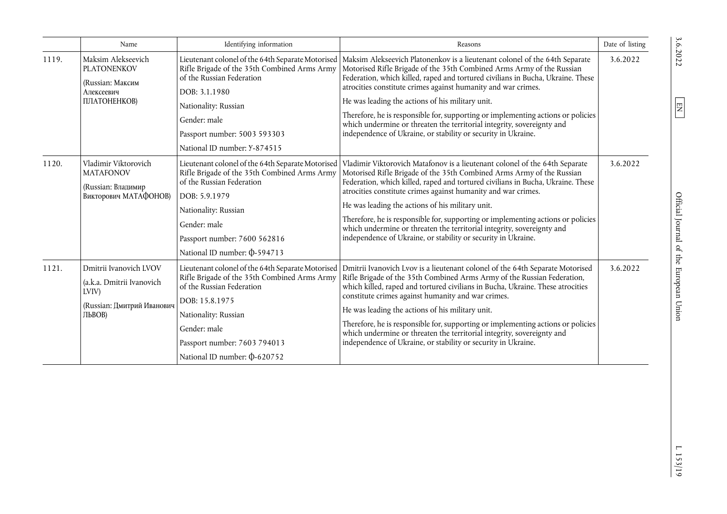|       | Name                                                                                                 | Identifying information                                                                                                                                                                                                                                    | Reasons                                                                                                                                                                                                                                                                                                                                                                                                                                                                                                                                                                                                                                         | Date of listing |
|-------|------------------------------------------------------------------------------------------------------|------------------------------------------------------------------------------------------------------------------------------------------------------------------------------------------------------------------------------------------------------------|-------------------------------------------------------------------------------------------------------------------------------------------------------------------------------------------------------------------------------------------------------------------------------------------------------------------------------------------------------------------------------------------------------------------------------------------------------------------------------------------------------------------------------------------------------------------------------------------------------------------------------------------------|-----------------|
| 1119. | Maksim Alekseevich<br><b>PLATONENKOV</b><br>(Russian: Максим<br>Алексеевич<br>ПЛАТОНЕНКОВ)           | Rifle Brigade of the 35th Combined Arms Army<br>of the Russian Federation<br>DOB: 3.1.1980<br>Nationality: Russian<br>Gender: male<br>Passport number: 5003 593303<br>National ID number: Y-874515                                                         | Lieutenant colonel of the 64th Separate Motorised   Maksim Alekseevich Platonenkov is a lieutenant colonel of the 64th Separate<br>Motorised Rifle Brigade of the 35th Combined Arms Army of the Russian<br>Federation, which killed, raped and tortured civilians in Bucha, Ukraine. These<br>atrocities constitute crimes against humanity and war crimes.<br>He was leading the actions of his military unit.<br>Therefore, he is responsible for, supporting or implementing actions or policies<br>which undermine or threaten the territorial integrity, sovereignty and<br>independence of Ukraine, or stability or security in Ukraine. | 3.6.2022        |
| 1120. | Vladimir Viktorovich<br><b>MATAFONOV</b><br>(Russian: Владимир<br>Викторович МАТАФОНОВ)              | Lieutenant colonel of the 64th Separate Motorised<br>Rifle Brigade of the 35th Combined Arms Army<br>of the Russian Federation<br>DOB: 5.9.1979<br>Nationality: Russian<br>Gender: male<br>Passport number: 7600 562816<br>National ID number: 0-594713    | Vladimir Viktorovich Matafonov is a lieutenant colonel of the 64th Separate<br>Motorised Rifle Brigade of the 35th Combined Arms Army of the Russian<br>Federation, which killed, raped and tortured civilians in Bucha, Ukraine. These<br>atrocities constitute crimes against humanity and war crimes.<br>He was leading the actions of his military unit.<br>Therefore, he is responsible for, supporting or implementing actions or policies<br>which undermine or threaten the territorial integrity, sovereignty and<br>independence of Ukraine, or stability or security in Ukraine.                                                     | 3.6.2022        |
| 1121. | Dmitrii Ivanovich LVOV<br>(a.k.a. Dmitrii Ivanovich<br>LVIV)<br>(Russian: Дмитрий Иванович<br>ЛЬВОВ) | Lieutenant colonel of the 64th Separate Motorised<br>Rifle Brigade of the 35th Combined Arms Army<br>of the Russian Federation<br>DOB: 15.8.1975<br>Nationality: Russian<br>Gender: male<br>Passport number: 7603 794013<br>National ID number: \$0-620752 | Dmitrii Ivanovich Lvov is a lieutenant colonel of the 64th Separate Motorised<br>Rifle Brigade of the 35th Combined Arms Army of the Russian Federation,<br>which killed, raped and tortured civilians in Bucha, Ukraine. These atrocities<br>constitute crimes against humanity and war crimes.<br>He was leading the actions of his military unit.<br>Therefore, he is responsible for, supporting or implementing actions or policies<br>which undermine or threaten the territorial integrity, sovereignty and<br>independence of Ukraine, or stability or security in Ukraine.                                                             | 3.6.2022        |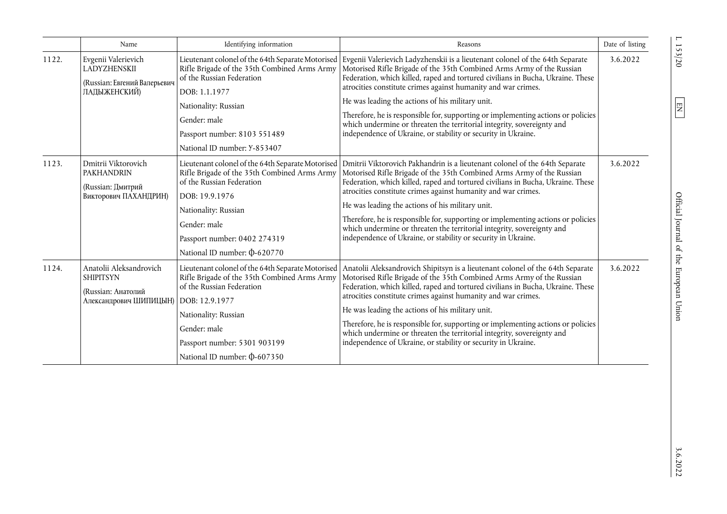|       | Name                                                                                        | Identifying information                                                                                                                                                                                                                                    | Reasons                                                                                                                                                                                                                                                                                                                                                                                                                                                                                                                                                                                        | Date of listing |
|-------|---------------------------------------------------------------------------------------------|------------------------------------------------------------------------------------------------------------------------------------------------------------------------------------------------------------------------------------------------------------|------------------------------------------------------------------------------------------------------------------------------------------------------------------------------------------------------------------------------------------------------------------------------------------------------------------------------------------------------------------------------------------------------------------------------------------------------------------------------------------------------------------------------------------------------------------------------------------------|-----------------|
| 1122. | Evgenii Valerievich<br>LADYZHENSKII<br>(Russian: Евгений Валерьевич<br>ЛАДЫЖЕНСКИЙ)         | Rifle Brigade of the 35th Combined Arms Army<br>of the Russian Federation<br>DOB: 1.1.1977<br>Nationality: Russian<br>Gender: male                                                                                                                         | Lieutenant colonel of the 64th Separate Motorised   Evgenii Valerievich Ladyzhenskii is a lieutenant colonel of the 64th Separate<br>Motorised Rifle Brigade of the 35th Combined Arms Army of the Russian<br>Federation, which killed, raped and tortured civilians in Bucha, Ukraine. These<br>atrocities constitute crimes against humanity and war crimes.<br>He was leading the actions of his military unit.<br>Therefore, he is responsible for, supporting or implementing actions or policies<br>which undermine or threaten the territorial integrity, sovereignty and               | 3.6.2022        |
|       |                                                                                             | Passport number: 8103 551489<br>National ID number: Y-853407                                                                                                                                                                                               | independence of Ukraine, or stability or security in Ukraine.                                                                                                                                                                                                                                                                                                                                                                                                                                                                                                                                  |                 |
| 1123. | Dmitrii Viktorovich<br><b>PAKHANDRIN</b><br>(Russian: Дмитрий<br>Викторович ПАХАНДРИН)      | Lieutenant colonel of the 64th Separate Motorised<br>Rifle Brigade of the 35th Combined Arms Army<br>of the Russian Federation<br>DOB: 19.9.1976<br>Nationality: Russian<br>Gender: male<br>Passport number: 0402 274319<br>National ID number: \$0-620770 | Dmitrii Viktorovich Pakhandrin is a lieutenant colonel of the 64th Separate<br>Motorised Rifle Brigade of the 35th Combined Arms Army of the Russian<br>Federation, which killed, raped and tortured civilians in Bucha, Ukraine. These<br>atrocities constitute crimes against humanity and war crimes.<br>He was leading the actions of his military unit.<br>Therefore, he is responsible for, supporting or implementing actions or policies<br>which undermine or threaten the territorial integrity, sovereignty and<br>independence of Ukraine, or stability or security in Ukraine.    | 3.6.2022        |
| 1124. | Anatolii Aleksandrovich<br><b>SHIPITSYN</b><br>(Russian: Анатолий<br>Александрович ШИПИЦЫН) | Lieutenant colonel of the 64th Separate Motorised<br>Rifle Brigade of the 35th Combined Arms Army<br>of the Russian Federation<br>DOB: 12.9.1977<br>Nationality: Russian<br>Gender: male<br>Passport number: 5301 903199<br>National ID number: \$0-607350 | Anatolii Aleksandrovich Shipitsyn is a lieutenant colonel of the 64th Separate<br>Motorised Rifle Brigade of the 35th Combined Arms Army of the Russian<br>Federation, which killed, raped and tortured civilians in Bucha, Ukraine. These<br>atrocities constitute crimes against humanity and war crimes.<br>He was leading the actions of his military unit.<br>Therefore, he is responsible for, supporting or implementing actions or policies<br>which undermine or threaten the territorial integrity, sovereignty and<br>independence of Ukraine, or stability or security in Ukraine. | 3.6.2022        |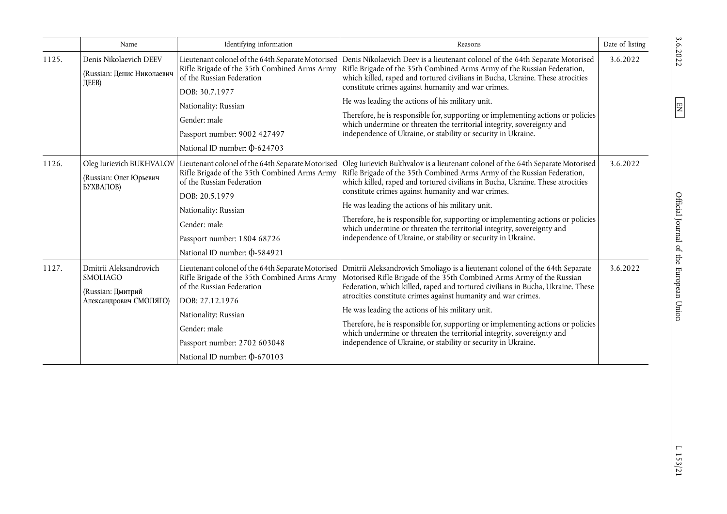|       | Name                                                                              | Identifying information                                                                                                                                                                                                                                     | Reasons                                                                                                                                                                                                                                                                                                                                                                                                                                                                                                                                                                                      | Date of listing |
|-------|-----------------------------------------------------------------------------------|-------------------------------------------------------------------------------------------------------------------------------------------------------------------------------------------------------------------------------------------------------------|----------------------------------------------------------------------------------------------------------------------------------------------------------------------------------------------------------------------------------------------------------------------------------------------------------------------------------------------------------------------------------------------------------------------------------------------------------------------------------------------------------------------------------------------------------------------------------------------|-----------------|
| 1125. | Denis Nikolaevich DEEV<br>(Russian: Денис Николаевич<br><b>ДЕЕВ</b> )             | Lieutenant colonel of the 64th Separate Motorised<br>Rifle Brigade of the 35th Combined Arms Army<br>of the Russian Federation<br>DOB: 30.7.1977<br>Nationality: Russian<br>Gender: male<br>Passport number: 9002 427497<br>National ID number: \$0-624703  | Denis Nikolaevich Deev is a lieutenant colonel of the 64th Separate Motorised<br>Rifle Brigade of the 35th Combined Arms Army of the Russian Federation,<br>which killed, raped and tortured civilians in Bucha, Ukraine. These atrocities<br>constitute crimes against humanity and war crimes.<br>He was leading the actions of his military unit.<br>Therefore, he is responsible for, supporting or implementing actions or policies<br>which undermine or threaten the territorial integrity, sovereignty and<br>independence of Ukraine, or stability or security in Ukraine.          | 3.6.2022        |
| 1126. | Oleg Iurievich BUKHVALOV<br>(Russian: Олег Юрьевич<br>БУХВАЛОВ)                   | Lieutenant colonel of the 64th Separate Motorised<br>Rifle Brigade of the 35th Combined Arms Army<br>of the Russian Federation<br>DOB: 20.5.1979<br>Nationality: Russian<br>Gender: male<br>Passport number: 1804 68726<br>National ID number: 0-584921     | Oleg Iurievich Bukhvalov is a lieutenant colonel of the 64th Separate Motorised<br>Rifle Brigade of the 35th Combined Arms Army of the Russian Federation,<br>which killed, raped and tortured civilians in Bucha, Ukraine. These atrocities<br>constitute crimes against humanity and war crimes.<br>He was leading the actions of his military unit.<br>Therefore, he is responsible for, supporting or implementing actions or policies<br>which undermine or threaten the territorial integrity, sovereignty and<br>independence of Ukraine, or stability or security in Ukraine.        | 3.6.2022        |
| 1127. | Dmitrii Aleksandrovich<br>SMOLIAGO<br>(Russian: Дмитрий<br>Александрович СМОЛЯГО) | Lieutenant colonel of the 64th Separate Motorised<br>Rifle Brigade of the 35th Combined Arms Army<br>of the Russian Federation<br>DOB: 27.12.1976<br>Nationality: Russian<br>Gender: male<br>Passport number: 2702 603048<br>National ID number: \$0-670103 | Dmitrii Aleksandrovich Smoliago is a lieutenant colonel of the 64th Separate<br>Motorised Rifle Brigade of the 35th Combined Arms Army of the Russian<br>Federation, which killed, raped and tortured civilians in Bucha, Ukraine. These<br>atrocities constitute crimes against humanity and war crimes.<br>He was leading the actions of his military unit.<br>Therefore, he is responsible for, supporting or implementing actions or policies<br>which undermine or threaten the territorial integrity, sovereignty and<br>independence of Ukraine, or stability or security in Ukraine. | 3.6.2022        |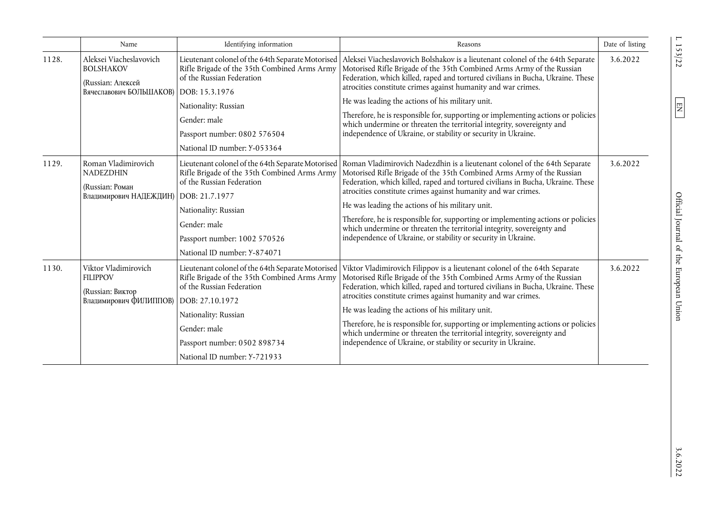|       | Name                                                                                                         | Identifying information                                                                                                                                                                                                                                   | Reasons                                                                                                                                                                                                                                                                                                                                                                                                                                                                                                                                                                                        | Date of listing |
|-------|--------------------------------------------------------------------------------------------------------------|-----------------------------------------------------------------------------------------------------------------------------------------------------------------------------------------------------------------------------------------------------------|------------------------------------------------------------------------------------------------------------------------------------------------------------------------------------------------------------------------------------------------------------------------------------------------------------------------------------------------------------------------------------------------------------------------------------------------------------------------------------------------------------------------------------------------------------------------------------------------|-----------------|
| 1128. | Aleksei Viacheslavovich<br><b>BOLSHAKOV</b><br>(Russian: Алексей<br>Вячеславович БОЛЬШАКОВ)   DOB: 15.3.1976 | Lieutenant colonel of the 64th Separate Motorised<br>Rifle Brigade of the 35th Combined Arms Army<br>of the Russian Federation<br>Nationality: Russian<br>Gender: male<br>Passport number: 0802 576504<br>National ID number: Y-053364                    | Aleksei Viacheslavovich Bolshakov is a lieutenant colonel of the 64th Separate<br>Motorised Rifle Brigade of the 35th Combined Arms Army of the Russian<br>Federation, which killed, raped and tortured civilians in Bucha, Ukraine. These<br>atrocities constitute crimes against humanity and war crimes.<br>He was leading the actions of his military unit.<br>Therefore, he is responsible for, supporting or implementing actions or policies<br>which undermine or threaten the territorial integrity, sovereignty and<br>independence of Ukraine, or stability or security in Ukraine. | 3.6.2022        |
| 1129. | Roman Vladimirovich<br><b>NADEZDHIN</b><br>(Russian: Роман<br>Владимирович НАДЕЖДИН)                         | Lieutenant colonel of the 64th Separate Motorised<br>Rifle Brigade of the 35th Combined Arms Army<br>of the Russian Federation<br>DOB: 21.7.1977<br>Nationality: Russian<br>Gender: male<br>Passport number: 1002 570526<br>National ID number: Y-874071  | Roman Vladimirovich Nadezdhin is a lieutenant colonel of the 64th Separate<br>Motorised Rifle Brigade of the 35th Combined Arms Army of the Russian<br>Federation, which killed, raped and tortured civilians in Bucha, Ukraine. These<br>atrocities constitute crimes against humanity and war crimes.<br>He was leading the actions of his military unit.<br>Therefore, he is responsible for, supporting or implementing actions or policies<br>which undermine or threaten the territorial integrity, sovereignty and<br>independence of Ukraine, or stability or security in Ukraine.     | 3.6.2022        |
| 1130. | Viktor Vladimirovich<br><b>FILIPPOV</b><br>(Russian: Виктор<br>Владимирович ФИЛИППОВ)                        | Lieutenant colonel of the 64th Separate Motorised<br>Rifle Brigade of the 35th Combined Arms Army<br>of the Russian Federation<br>DOB: 27.10.1972<br>Nationality: Russian<br>Gender: male<br>Passport number: 0502 898734<br>National ID number: Y-721933 | Viktor Vladimirovich Filippov is a lieutenant colonel of the 64th Separate<br>Motorised Rifle Brigade of the 35th Combined Arms Army of the Russian<br>Federation, which killed, raped and tortured civilians in Bucha, Ukraine. These<br>atrocities constitute crimes against humanity and war crimes.<br>He was leading the actions of his military unit.<br>Therefore, he is responsible for, supporting or implementing actions or policies<br>which undermine or threaten the territorial integrity, sovereignty and<br>independence of Ukraine, or stability or security in Ukraine.     | 3.6.2022        |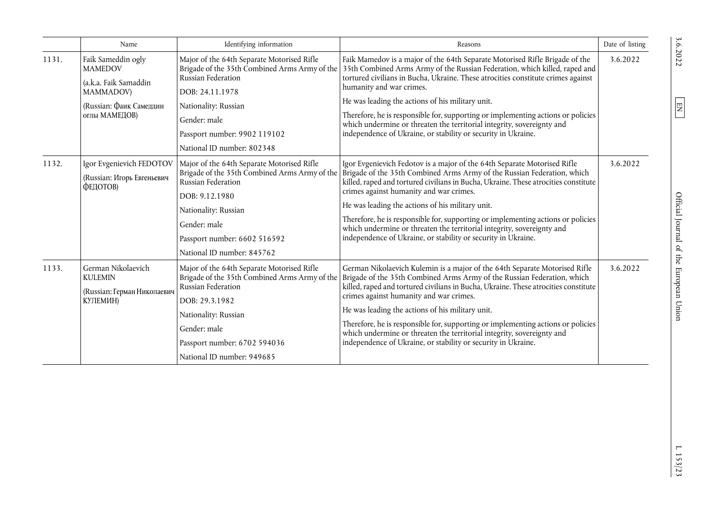|       | Name                                                                                                                          | Identifying information                                                                                                                                                                                                                   | Reasons                                                                                                                                                                                                                                                                                                                                                                                                                                                                                                                                                                    | Date of listing |
|-------|-------------------------------------------------------------------------------------------------------------------------------|-------------------------------------------------------------------------------------------------------------------------------------------------------------------------------------------------------------------------------------------|----------------------------------------------------------------------------------------------------------------------------------------------------------------------------------------------------------------------------------------------------------------------------------------------------------------------------------------------------------------------------------------------------------------------------------------------------------------------------------------------------------------------------------------------------------------------------|-----------------|
| 1131. | Faik Sameddin ogly<br><b>MAMEDOV</b><br>(a.k.a. Faik Samaddin<br><b>MAMMADOV)</b><br>(Russian: Фаик Самеддин<br>оглы МАМЕДОВ) | Major of the 64th Separate Motorised Rifle<br>Brigade of the 35th Combined Arms Army of the<br>Russian Federation<br>DOB: 24.11.1978<br>Nationality: Russian<br>Gender: male<br>Passport number: 9902 119102                              | Faik Mamedov is a major of the 64th Separate Motorised Rifle Brigade of the<br>35th Combined Arms Army of the Russian Federation, which killed, raped and<br>tortured civilians in Bucha, Ukraine. These atrocities constitute crimes against<br>humanity and war crimes.<br>He was leading the actions of his military unit.<br>Therefore, he is responsible for, supporting or implementing actions or policies<br>which undermine or threaten the territorial integrity, sovereignty and<br>independence of Ukraine, or stability or security in Ukraine.               | 3.6.2022        |
|       | National ID number: 802348                                                                                                    |                                                                                                                                                                                                                                           |                                                                                                                                                                                                                                                                                                                                                                                                                                                                                                                                                                            |                 |
| 1132. | Igor Evgenievich FEDOTOV<br>(Russian: Игорь Евгеньевич<br>ФЕДОТОВ)                                                            | Major of the 64th Separate Motorised Rifle<br>Brigade of the 35th Combined Arms Army of the<br>Russian Federation<br>DOB: 9.12.1980<br>Nationality: Russian<br>Gender: male<br>Passport number: 6602 516592<br>National ID number: 845762 | Igor Evgenievich Fedotov is a major of the 64th Separate Motorised Rifle<br>Brigade of the 35th Combined Arms Army of the Russian Federation, which<br>killed, raped and tortured civilians in Bucha, Ukraine. These atrocities constitute<br>crimes against humanity and war crimes.<br>He was leading the actions of his military unit.<br>Therefore, he is responsible for, supporting or implementing actions or policies<br>which undermine or threaten the territorial integrity, sovereignty and<br>independence of Ukraine, or stability or security in Ukraine.   | 3.6.2022        |
| 1133. | German Nikolaevich<br><b>KULEMIN</b><br>(Russian: Герман Николаевич<br>КУЛЕМИН)                                               | Major of the 64th Separate Motorised Rifle<br>Brigade of the 35th Combined Arms Army of the<br>Russian Federation<br>DOB: 29.3.1982<br>Nationality: Russian<br>Gender: male<br>Passport number: 6702 594036<br>National ID number: 949685 | German Nikolaevich Kulemin is a major of the 64th Separate Motorised Rifle<br>Brigade of the 35th Combined Arms Army of the Russian Federation, which<br>killed, raped and tortured civilians in Bucha, Ukraine. These atrocities constitute<br>crimes against humanity and war crimes.<br>He was leading the actions of his military unit.<br>Therefore, he is responsible for, supporting or implementing actions or policies<br>which undermine or threaten the territorial integrity, sovereignty and<br>independence of Ukraine, or stability or security in Ukraine. | 3.6.2022        |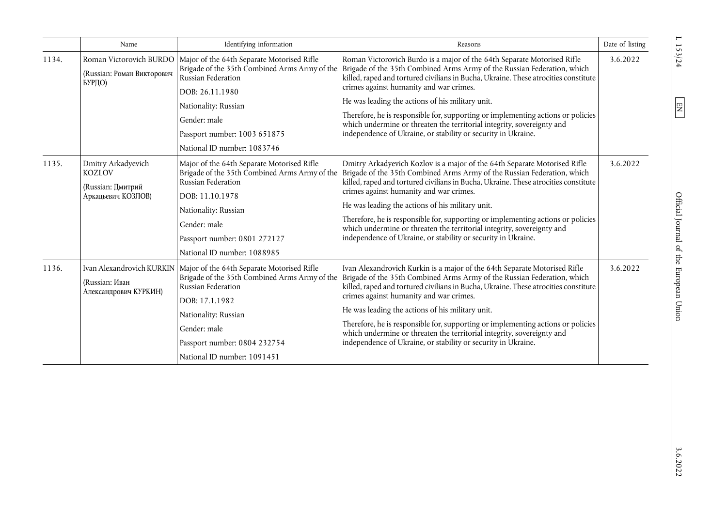|       | Name                                                                           | Identifying information                                                                                                                                                                                                                     | Reasons                                                                                                                                                                                                                                                                                                                                                                                                                                                                                                                                                                   | Date of listing |
|-------|--------------------------------------------------------------------------------|---------------------------------------------------------------------------------------------------------------------------------------------------------------------------------------------------------------------------------------------|---------------------------------------------------------------------------------------------------------------------------------------------------------------------------------------------------------------------------------------------------------------------------------------------------------------------------------------------------------------------------------------------------------------------------------------------------------------------------------------------------------------------------------------------------------------------------|-----------------|
| 1134. | Roman Victorovich BURDO<br>(Russian: Роман Викторович<br>БУРДО)                | Major of the 64th Separate Motorised Rifle<br>Brigade of the 35th Combined Arms Army of the<br>Russian Federation<br>DOB: 26.11.1980<br>Nationality: Russian<br>Gender: male                                                                | Roman Victorovich Burdo is a major of the 64th Separate Motorised Rifle<br>Brigade of the 35th Combined Arms Army of the Russian Federation, which<br>killed, raped and tortured civilians in Bucha, Ukraine. These atrocities constitute<br>crimes against humanity and war crimes.<br>He was leading the actions of his military unit.<br>Therefore, he is responsible for, supporting or implementing actions or policies<br>which undermine or threaten the territorial integrity, sovereignty and                                                                    | 3.6.2022        |
|       |                                                                                | Passport number: 1003 651875<br>National ID number: 1083746                                                                                                                                                                                 | independence of Ukraine, or stability or security in Ukraine.                                                                                                                                                                                                                                                                                                                                                                                                                                                                                                             |                 |
| 1135. | Dmitry Arkadyevich<br><b>KOZLOV</b><br>(Russian: Дмитрий<br>Аркадьевич КОЗЛОВ) | Major of the 64th Separate Motorised Rifle<br>Brigade of the 35th Combined Arms Army of the<br>Russian Federation<br>DOB: 11.10.1978<br>Nationality: Russian<br>Gender: male<br>Passport number: 0801 272127<br>National ID number: 1088985 | Dmitry Arkadyevich Kozlov is a major of the 64th Separate Motorised Rifle<br>Brigade of the 35th Combined Arms Army of the Russian Federation, which<br>killed, raped and tortured civilians in Bucha, Ukraine. These atrocities constitute<br>crimes against humanity and war crimes.<br>He was leading the actions of his military unit.<br>Therefore, he is responsible for, supporting or implementing actions or policies<br>which undermine or threaten the territorial integrity, sovereignty and<br>independence of Ukraine, or stability or security in Ukraine. | 3.6.2022        |
| 1136. | Ivan Alexandrovich KURKIN<br>(Russian: Иван<br>Александрович КУРКИН)           | Major of the 64th Separate Motorised Rifle<br>Brigade of the 35th Combined Arms Army of the<br>Russian Federation<br>DOB: 17.1.1982<br>Nationality: Russian<br>Gender: male<br>Passport number: 0804 232754<br>National ID number: 1091451  | Ivan Alexandrovich Kurkin is a major of the 64th Separate Motorised Rifle<br>Brigade of the 35th Combined Arms Army of the Russian Federation, which<br>killed, raped and tortured civilians in Bucha, Ukraine. These atrocities constitute<br>crimes against humanity and war crimes.<br>He was leading the actions of his military unit.<br>Therefore, he is responsible for, supporting or implementing actions or policies<br>which undermine or threaten the territorial integrity, sovereignty and<br>independence of Ukraine, or stability or security in Ukraine. | 3.6.2022        |

 $L \ 153/24$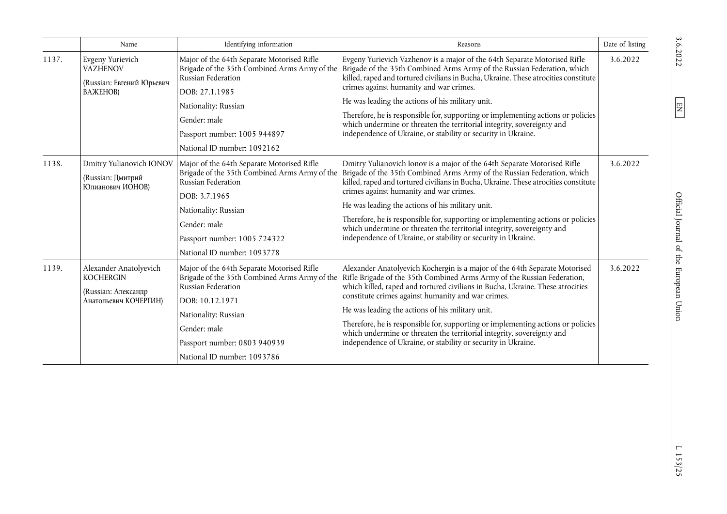|       | Name                                                                                       | Identifying information                                                                                                                                                                                                                     | Reasons                                                                                                                                                                                                                                                                                                                                                                                                                                                                                                                                                                                                                   | Date of listing |
|-------|--------------------------------------------------------------------------------------------|---------------------------------------------------------------------------------------------------------------------------------------------------------------------------------------------------------------------------------------------|---------------------------------------------------------------------------------------------------------------------------------------------------------------------------------------------------------------------------------------------------------------------------------------------------------------------------------------------------------------------------------------------------------------------------------------------------------------------------------------------------------------------------------------------------------------------------------------------------------------------------|-----------------|
| 1137. | Evgeny Yurievich<br><b>VAZHENOV</b><br>(Russian: Евгений Юрьевич<br><b>BAXEHOB)</b>        | Major of the 64th Separate Motorised Rifle<br>Russian Federation<br>DOB: 27.1.1985<br>Nationality: Russian<br>Gender: male<br>Passport number: 1005 944897                                                                                  | Evgeny Yurievich Vazhenov is a major of the 64th Separate Motorised Rifle<br>Brigade of the 35th Combined Arms Army of the   Brigade of the 35th Combined Arms Army of the Russian Federation, which<br>killed, raped and tortured civilians in Bucha, Ukraine. These atrocities constitute<br>crimes against humanity and war crimes.<br>He was leading the actions of his military unit.<br>Therefore, he is responsible for, supporting or implementing actions or policies<br>which undermine or threaten the territorial integrity, sovereignty and<br>independence of Ukraine, or stability or security in Ukraine. | 3.6.2022        |
| 1138. | Dmitry Yulianovich IONOV<br>(Russian: Дмитрий<br>Юлианович ИОНОВ)                          | National ID number: 1092162<br>Major of the 64th Separate Motorised Rifle<br>Russian Federation<br>DOB: 3.7.1965<br>Nationality: Russian<br>Gender: male<br>Passport number: 1005 724322<br>National ID number: 1093778                     | Dmitry Yulianovich Ionov is a major of the 64th Separate Motorised Rifle<br>Brigade of the 35th Combined Arms Army of the   Brigade of the 35th Combined Arms Army of the Russian Federation, which<br>killed, raped and tortured civilians in Bucha, Ukraine. These atrocities constitute<br>crimes against humanity and war crimes.<br>He was leading the actions of his military unit.<br>Therefore, he is responsible for, supporting or implementing actions or policies<br>which undermine or threaten the territorial integrity, sovereignty and<br>independence of Ukraine, or stability or security in Ukraine.  | 3.6.2022        |
| 1139. | Alexander Anatolyevich<br><b>KOCHERGIN</b><br>(Russian: Александр<br>Анатольевич КОЧЕРГИН) | Major of the 64th Separate Motorised Rifle<br>Brigade of the 35th Combined Arms Army of the<br>Russian Federation<br>DOB: 10.12.1971<br>Nationality: Russian<br>Gender: male<br>Passport number: 0803 940939<br>National ID number: 1093786 | Alexander Anatolyevich Kochergin is a major of the 64th Separate Motorised<br>Rifle Brigade of the 35th Combined Arms Army of the Russian Federation,<br>which killed, raped and tortured civilians in Bucha, Ukraine. These atrocities<br>constitute crimes against humanity and war crimes.<br>He was leading the actions of his military unit.<br>Therefore, he is responsible for, supporting or implementing actions or policies<br>which undermine or threaten the territorial integrity, sovereignty and<br>independence of Ukraine, or stability or security in Ukraine.                                          | 3.6.2022        |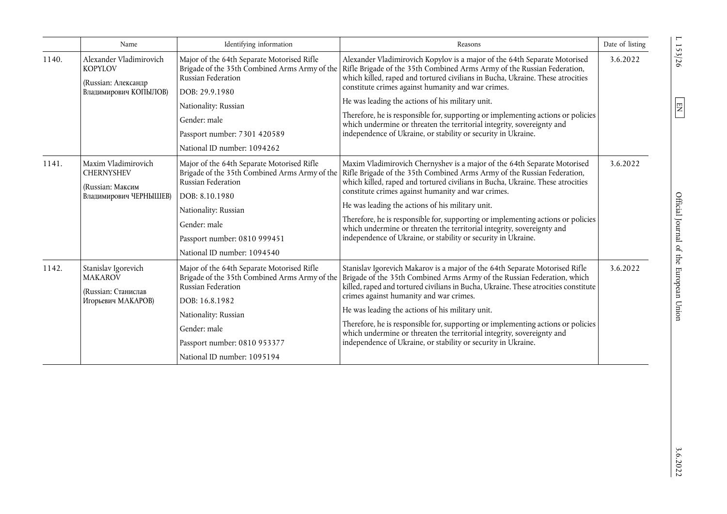|       | Name                                                                                      | Identifying information                                                                                                                                                                                                                    | Reasons                                                                                                                                                                                                                                                                                                                                                                                                                                                                                                                                                                                                                         | Date of listing |
|-------|-------------------------------------------------------------------------------------------|--------------------------------------------------------------------------------------------------------------------------------------------------------------------------------------------------------------------------------------------|---------------------------------------------------------------------------------------------------------------------------------------------------------------------------------------------------------------------------------------------------------------------------------------------------------------------------------------------------------------------------------------------------------------------------------------------------------------------------------------------------------------------------------------------------------------------------------------------------------------------------------|-----------------|
| 1140. | Alexander Vladimirovich<br><b>KOPYLOV</b><br>(Russian: Александр<br>Владимирович КОПЫЛОВ) | Major of the 64th Separate Motorised Rifle<br>Russian Federation<br>DOB: 29.9.1980<br>Nationality: Russian<br>Gender: male<br>Passport number: 7301 420589<br>National ID number: 1094262                                                  | Alexander Vladimirovich Kopylov is a major of the 64th Separate Motorised<br>Brigade of the 35th Combined Arms Army of the   Rifle Brigade of the 35th Combined Arms Army of the Russian Federation,<br>which killed, raped and tortured civilians in Bucha, Ukraine. These atrocities<br>constitute crimes against humanity and war crimes.<br>He was leading the actions of his military unit.<br>Therefore, he is responsible for, supporting or implementing actions or policies<br>which undermine or threaten the territorial integrity, sovereignty and<br>independence of Ukraine, or stability or security in Ukraine. | 3.6.2022        |
| 1141. | Maxim Vladimirovich<br><b>CHERNYSHEV</b><br>(Russian: Максим<br>Владимирович ЧЕРНЫШЕВ)    | Major of the 64th Separate Motorised Rifle<br>Brigade of the 35th Combined Arms Army of the<br>Russian Federation<br>DOB: 8.10.1980<br>Nationality: Russian<br>Gender: male<br>Passport number: 0810 999451<br>National ID number: 1094540 | Maxim Vladimirovich Chernyshev is a major of the 64th Separate Motorised<br>Rifle Brigade of the 35th Combined Arms Army of the Russian Federation,<br>which killed, raped and tortured civilians in Bucha, Ukraine. These atrocities<br>constitute crimes against humanity and war crimes.<br>He was leading the actions of his military unit.<br>Therefore, he is responsible for, supporting or implementing actions or policies<br>which undermine or threaten the territorial integrity, sovereignty and<br>independence of Ukraine, or stability or security in Ukraine.                                                  | 3.6.2022        |
| 1142. | Stanislav Igorevich<br><b>MAKAROV</b><br>(Russian: Станислав<br>Игорьевич МАКАРОВ)        | Major of the 64th Separate Motorised Rifle<br>Brigade of the 35th Combined Arms Army of the<br>Russian Federation<br>DOB: 16.8.1982<br>Nationality: Russian<br>Gender: male<br>Passport number: 0810 953377<br>National ID number: 1095194 | Stanislav Igorevich Makarov is a major of the 64th Separate Motorised Rifle<br>Brigade of the 35th Combined Arms Army of the Russian Federation, which<br>killed, raped and tortured civilians in Bucha, Ukraine. These atrocities constitute<br>crimes against humanity and war crimes.<br>He was leading the actions of his military unit.<br>Therefore, he is responsible for, supporting or implementing actions or policies<br>which undermine or threaten the territorial integrity, sovereignty and<br>independence of Ukraine, or stability or security in Ukraine.                                                     | 3.6.2022        |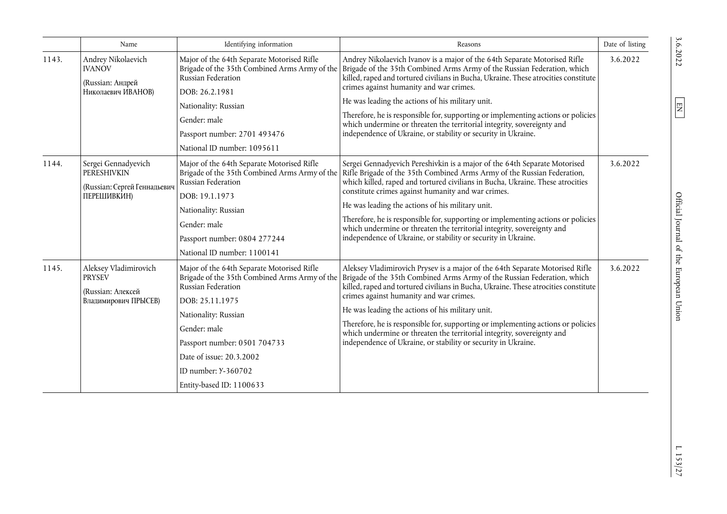|       | Name                                                                                                                                                                                                                                                                                                                                                              | Identifying information                                                                                                                                                                                                                | Reasons                                                                                                                                                                                                                                                                                | Date of listing |
|-------|-------------------------------------------------------------------------------------------------------------------------------------------------------------------------------------------------------------------------------------------------------------------------------------------------------------------------------------------------------------------|----------------------------------------------------------------------------------------------------------------------------------------------------------------------------------------------------------------------------------------|----------------------------------------------------------------------------------------------------------------------------------------------------------------------------------------------------------------------------------------------------------------------------------------|-----------------|
| 1143. | Andrey Nikolaevich<br><b>IVANOV</b><br>(Russian: Андрей<br>Николаевич ИВАНОВ)                                                                                                                                                                                                                                                                                     | Major of the 64th Separate Motorised Rifle<br>Brigade of the 35th Combined Arms Army of the<br>Russian Federation<br>DOB: 26.2.1981                                                                                                    | Andrey Nikolaevich Ivanov is a major of the 64th Separate Motorised Rifle<br>Brigade of the 35th Combined Arms Army of the Russian Federation, which<br>killed, raped and tortured civilians in Bucha, Ukraine. These atrocities constitute<br>crimes against humanity and war crimes. | 3.6.2022        |
|       |                                                                                                                                                                                                                                                                                                                                                                   | Nationality: Russian                                                                                                                                                                                                                   | He was leading the actions of his military unit.                                                                                                                                                                                                                                       |                 |
|       |                                                                                                                                                                                                                                                                                                                                                                   | Gender: male                                                                                                                                                                                                                           | Therefore, he is responsible for, supporting or implementing actions or policies<br>which undermine or threaten the territorial integrity, sovereignty and                                                                                                                             |                 |
|       |                                                                                                                                                                                                                                                                                                                                                                   | Passport number: 2701 493476                                                                                                                                                                                                           | independence of Ukraine, or stability or security in Ukraine.                                                                                                                                                                                                                          |                 |
|       |                                                                                                                                                                                                                                                                                                                                                                   | National ID number: 1095611                                                                                                                                                                                                            |                                                                                                                                                                                                                                                                                        |                 |
| 1144. | Sergei Gennadyevich<br>Major of the 64th Separate Motorised Rifle<br>Brigade of the 35th Combined Arms Army of the<br><b>PERESHIVKIN</b><br>Russian Federation<br>(Russian: Сергей Геннадьевич<br>constitute crimes against humanity and war crimes.<br>ПЕРЕШИВКИН)<br>DOB: 19.1.1973<br>He was leading the actions of his military unit.<br>Nationality: Russian | Sergei Gennadyevich Pereshivkin is a major of the 64th Separate Motorised<br>Rifle Brigade of the 35th Combined Arms Army of the Russian Federation,<br>which killed, raped and tortured civilians in Bucha, Ukraine. These atrocities | 3.6.2022                                                                                                                                                                                                                                                                               |                 |
|       |                                                                                                                                                                                                                                                                                                                                                                   |                                                                                                                                                                                                                                        |                                                                                                                                                                                                                                                                                        |                 |
|       |                                                                                                                                                                                                                                                                                                                                                                   |                                                                                                                                                                                                                                        |                                                                                                                                                                                                                                                                                        |                 |
|       |                                                                                                                                                                                                                                                                                                                                                                   | Gender: male                                                                                                                                                                                                                           | Therefore, he is responsible for, supporting or implementing actions or policies<br>which undermine or threaten the territorial integrity, sovereignty and                                                                                                                             |                 |
|       |                                                                                                                                                                                                                                                                                                                                                                   | Passport number: 0804 277244                                                                                                                                                                                                           | independence of Ukraine, or stability or security in Ukraine.                                                                                                                                                                                                                          |                 |
|       |                                                                                                                                                                                                                                                                                                                                                                   | National ID number: 1100141                                                                                                                                                                                                            |                                                                                                                                                                                                                                                                                        |                 |
| 1145. | Aleksey Vladimirovich<br><b>PRYSEV</b><br>(Russian: Алексей                                                                                                                                                                                                                                                                                                       | Major of the 64th Separate Motorised Rifle<br>Brigade of the 35th Combined Arms Army of the<br>Russian Federation                                                                                                                      | Aleksey Vladimirovich Prysev is a major of the 64th Separate Motorised Rifle<br>Brigade of the 35th Combined Arms Army of the Russian Federation, which<br>killed, raped and tortured civilians in Bucha, Ukraine. These atrocities constitute                                         | 3.6.2022        |
|       | Владимирович ПРЫСЕВ)                                                                                                                                                                                                                                                                                                                                              | DOB: 25.11.1975                                                                                                                                                                                                                        | crimes against humanity and war crimes.                                                                                                                                                                                                                                                |                 |
|       |                                                                                                                                                                                                                                                                                                                                                                   | Nationality: Russian                                                                                                                                                                                                                   | He was leading the actions of his military unit.                                                                                                                                                                                                                                       |                 |
|       |                                                                                                                                                                                                                                                                                                                                                                   | Gender: male                                                                                                                                                                                                                           | Therefore, he is responsible for, supporting or implementing actions or policies<br>which undermine or threaten the territorial integrity, sovereignty and                                                                                                                             |                 |
|       |                                                                                                                                                                                                                                                                                                                                                                   | Passport number: 0501 704733                                                                                                                                                                                                           | independence of Ukraine, or stability or security in Ukraine.                                                                                                                                                                                                                          |                 |
|       |                                                                                                                                                                                                                                                                                                                                                                   | Date of issue: 20.3.2002                                                                                                                                                                                                               |                                                                                                                                                                                                                                                                                        |                 |
|       |                                                                                                                                                                                                                                                                                                                                                                   | ID number: Y-360702                                                                                                                                                                                                                    |                                                                                                                                                                                                                                                                                        |                 |
|       |                                                                                                                                                                                                                                                                                                                                                                   | Entity-based ID: 1100633                                                                                                                                                                                                               |                                                                                                                                                                                                                                                                                        |                 |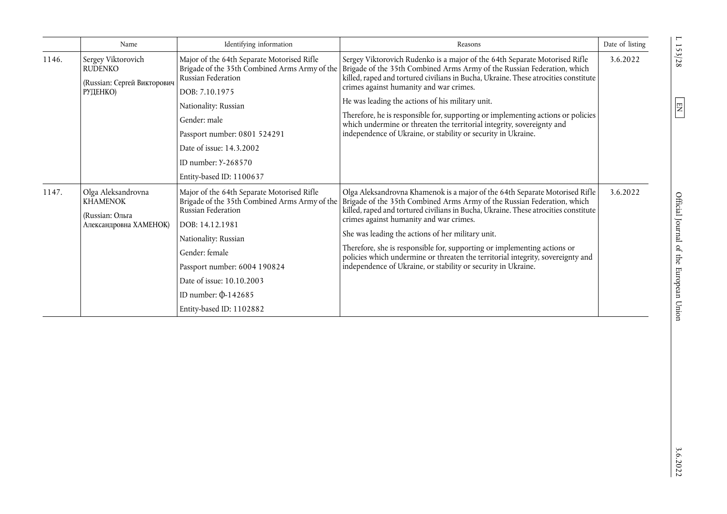|       | Name                                                                               | Identifying information                                                                                                                                                                                                                                                                              | Reasons                                                                                                                                                                                                                                                                                                                                                                                                                                                                                                                                                                       | Date of listing |
|-------|------------------------------------------------------------------------------------|------------------------------------------------------------------------------------------------------------------------------------------------------------------------------------------------------------------------------------------------------------------------------------------------------|-------------------------------------------------------------------------------------------------------------------------------------------------------------------------------------------------------------------------------------------------------------------------------------------------------------------------------------------------------------------------------------------------------------------------------------------------------------------------------------------------------------------------------------------------------------------------------|-----------------|
| 1146. | Sergey Viktorovich<br><b>RUDENKO</b><br>(Russian: Сергей Викторович<br>РУДЕНКО)    | Major of the 64th Separate Motorised Rifle<br>Brigade of the 35th Combined Arms Army of the<br>Russian Federation<br>DOB: 7.10.1975<br>Nationality: Russian<br>Gender: male<br>Passport number: 0801 524291<br>Date of issue: 14.3.2002<br>ID number: Y-268570<br>Entity-based ID: 1100637           | Sergey Viktorovich Rudenko is a major of the 64th Separate Motorised Rifle<br>Brigade of the 35th Combined Arms Army of the Russian Federation, which<br>killed, raped and tortured civilians in Bucha, Ukraine. These atrocities constitute<br>crimes against humanity and war crimes.<br>He was leading the actions of his military unit.<br>Therefore, he is responsible for, supporting or implementing actions or policies<br>which undermine or threaten the territorial integrity, sovereignty and<br>independence of Ukraine, or stability or security in Ukraine.    | 3.6.2022        |
| 1147. | Olga Aleksandrovna<br><b>KHAMENOK</b><br>(Russian: Ольга<br>Александровна ХАМЕНОК) | Major of the 64th Separate Motorised Rifle<br>Brigade of the 35th Combined Arms Army of the<br>Russian Federation<br>DOB: 14.12.1981<br>Nationality: Russian<br>Gender: female<br>Passport number: 6004 190824<br>Date of issue: 10.10.2003<br>ID number: $\Phi$ -142685<br>Entity-based ID: 1102882 | Olga Aleksandrovna Khamenok is a major of the 64th Separate Motorised Rifle<br>Brigade of the 35th Combined Arms Army of the Russian Federation, which<br>killed, raped and tortured civilians in Bucha, Ukraine. These atrocities constitute<br>crimes against humanity and war crimes.<br>She was leading the actions of her military unit.<br>Therefore, she is responsible for, supporting or implementing actions or<br>policies which undermine or threaten the territorial integrity, sovereignty and<br>independence of Ukraine, or stability or security in Ukraine. | 3.6.2022        |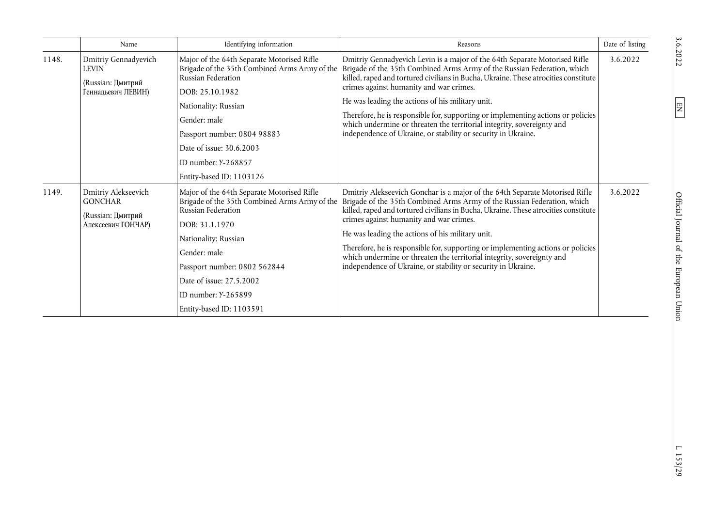|       | Name                                                                             | Identifying information                                                                                                                                                                                                                                                                    | Reasons                                                                                                                                                                                                                                                                                                                                                                                                                                                                                                                                                                     | Date of listing |
|-------|----------------------------------------------------------------------------------|--------------------------------------------------------------------------------------------------------------------------------------------------------------------------------------------------------------------------------------------------------------------------------------------|-----------------------------------------------------------------------------------------------------------------------------------------------------------------------------------------------------------------------------------------------------------------------------------------------------------------------------------------------------------------------------------------------------------------------------------------------------------------------------------------------------------------------------------------------------------------------------|-----------------|
| 1148. | Dmitriy Gennadyevich<br>LEVIN<br>(Russian: Дмитрий<br>Геннадьевич ЛЕВИН)         | Major of the 64th Separate Motorised Rifle<br>Brigade of the 35th Combined Arms Army of the<br>Russian Federation<br>DOB: 25.10.1982<br>Nationality: Russian<br>Gender: male<br>Passport number: 0804 98883<br>Date of issue: 30.6.2003<br>ID number: Y-268857<br>Entity-based ID: 1103126 | Dmitriy Gennadyevich Levin is a major of the 64th Separate Motorised Rifle<br>Brigade of the 35th Combined Arms Army of the Russian Federation, which<br>killed, raped and tortured civilians in Bucha, Ukraine. These atrocities constitute<br>crimes against humanity and war crimes.<br>He was leading the actions of his military unit.<br>Therefore, he is responsible for, supporting or implementing actions or policies<br>which undermine or threaten the territorial integrity, sovereignty and<br>independence of Ukraine, or stability or security in Ukraine.  | 3.6.2022        |
| 1149. | Dmitriy Alekseevich<br><b>GONCHAR</b><br>(Russian: Дмитрий<br>Алексеевич ГОНЧАР) | Major of the 64th Separate Motorised Rifle<br>Brigade of the 35th Combined Arms Army of the<br>Russian Federation<br>DOB: 31.1.1970<br>Nationality: Russian<br>Gender: male<br>Passport number: 0802 562844<br>Date of issue: 27.5.2002<br>ID number: Y-265899<br>Entity-based ID: 1103591 | Dmitriy Alekseevich Gonchar is a major of the 64th Separate Motorised Rifle<br>Brigade of the 35th Combined Arms Army of the Russian Federation, which<br>killed, raped and tortured civilians in Bucha, Ukraine. These atrocities constitute<br>crimes against humanity and war crimes.<br>He was leading the actions of his military unit.<br>Therefore, he is responsible for, supporting or implementing actions or policies<br>which undermine or threaten the territorial integrity, sovereignty and<br>independence of Ukraine, or stability or security in Ukraine. | 3.6.2022        |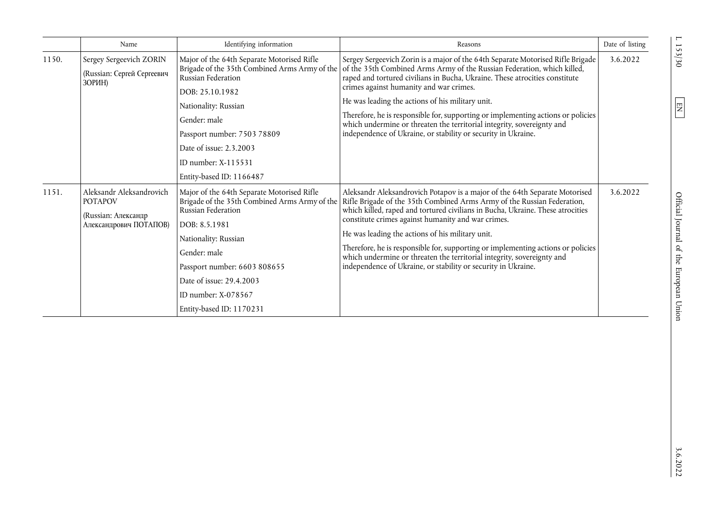|       | Name                                                                                        | Identifying information                                                                                                                                                                                                                    | Reasons                                                                                                                                                                                                                                                                                                                                                                                                                                                                                                                                                                                                                        | Date of listing |
|-------|---------------------------------------------------------------------------------------------|--------------------------------------------------------------------------------------------------------------------------------------------------------------------------------------------------------------------------------------------|--------------------------------------------------------------------------------------------------------------------------------------------------------------------------------------------------------------------------------------------------------------------------------------------------------------------------------------------------------------------------------------------------------------------------------------------------------------------------------------------------------------------------------------------------------------------------------------------------------------------------------|-----------------|
| 1150. | Sergey Sergeevich ZORIN<br>(Russian: Сергей Сергеевич<br>ЗОРИН)                             | Major of the 64th Separate Motorised Rifle<br>Russian Federation<br>DOB: 25.10.1982<br>Nationality: Russian<br>Gender: male<br>Passport number: 7503 78809<br>Date of issue: 2.3.2003<br>ID number: $X-115531$<br>Entity-based ID: 1166487 | Sergey Sergeevich Zorin is a major of the 64th Separate Motorised Rifle Brigade<br>Brigade of the 35th Combined Arms Army of the of the 35th Combined Arms Army of the Russian Federation, which killed,<br>raped and tortured civilians in Bucha, Ukraine. These atrocities constitute<br>crimes against humanity and war crimes.<br>He was leading the actions of his military unit.<br>Therefore, he is responsible for, supporting or implementing actions or policies<br>which undermine or threaten the territorial integrity, sovereignty and<br>independence of Ukraine, or stability or security in Ukraine.          | 3.6.2022        |
| 1151. | Aleksandr Aleksandrovich<br><b>POTAPOV</b><br>(Russian: Александр<br>Александрович ПОТАПОВ) | Major of the 64th Separate Motorised Rifle<br>Russian Federation<br>DOB: 8.5.1981<br>Nationality: Russian<br>Gender: male<br>Passport number: 6603 808655<br>Date of issue: 29.4.2003<br>ID number: $X-078567$<br>Entity-based ID: 1170231 | Aleksandr Aleksandrovich Potapov is a major of the 64th Separate Motorised<br>Brigade of the 35th Combined Arms Army of the Rifle Brigade of the 35th Combined Arms Army of the Russian Federation,<br>which killed, raped and tortured civilians in Bucha, Ukraine. These atrocities<br>constitute crimes against humanity and war crimes.<br>He was leading the actions of his military unit.<br>Therefore, he is responsible for, supporting or implementing actions or policies<br>which undermine or threaten the territorial integrity, sovereignty and<br>independence of Ukraine, or stability or security in Ukraine. | 3.6.2022        |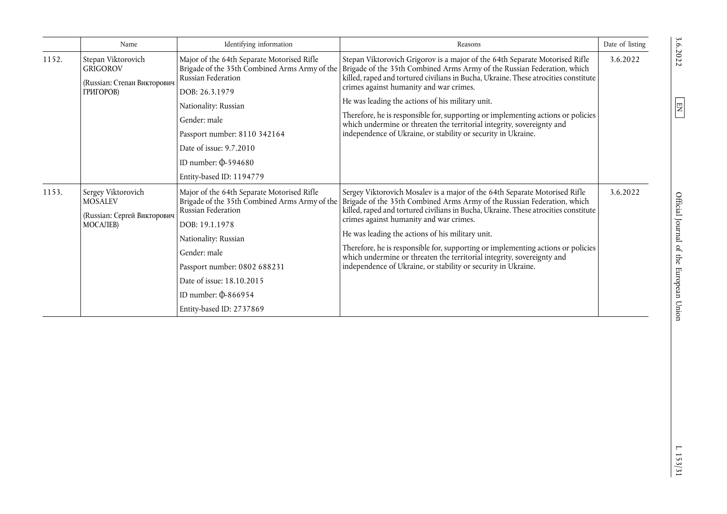|       | Name                                                                                    | Identifying information                                                                                                                                                                                                                                                                           | Reasons                                                                                                                                                                                                                                                                                                                                                                                                                                                                                                                                                                     | Date of listing |
|-------|-----------------------------------------------------------------------------------------|---------------------------------------------------------------------------------------------------------------------------------------------------------------------------------------------------------------------------------------------------------------------------------------------------|-----------------------------------------------------------------------------------------------------------------------------------------------------------------------------------------------------------------------------------------------------------------------------------------------------------------------------------------------------------------------------------------------------------------------------------------------------------------------------------------------------------------------------------------------------------------------------|-----------------|
| 1152. | Stepan Viktorovich<br><b>GRIGOROV</b><br>(Russian: Степан Викторович<br>ГРИГОРОВ)       | Major of the 64th Separate Motorised Rifle<br>Brigade of the 35th Combined Arms Army of the<br>Russian Federation<br>DOB: 26.3.1979<br>Nationality: Russian<br>Gender: male<br>Passport number: 8110 342164<br>Date of issue: 9.7.2010<br>ID number: $\Phi$ -594680<br>Entity-based ID: 1194779   | Stepan Viktorovich Grigorov is a major of the 64th Separate Motorised Rifle<br>Brigade of the 35th Combined Arms Army of the Russian Federation, which<br>killed, raped and tortured civilians in Bucha, Ukraine. These atrocities constitute<br>crimes against humanity and war crimes.<br>He was leading the actions of his military unit.<br>Therefore, he is responsible for, supporting or implementing actions or policies<br>which undermine or threaten the territorial integrity, sovereignty and<br>independence of Ukraine, or stability or security in Ukraine. | 3.6.2022        |
| 1153. | Sergey Viktorovich<br><b>MOSALEV</b><br>(Russian: Сергей Викторович<br><b>MOCAЛEB</b> ) | Major of the 64th Separate Motorised Rifle<br>Brigade of the 35th Combined Arms Army of the<br>Russian Federation<br>DOB: 19.1.1978<br>Nationality: Russian<br>Gender: male<br>Passport number: 0802 688231<br>Date of issue: 18.10.2015<br>ID number: $\Phi$ -866954<br>Entity-based ID: 2737869 | Sergey Viktorovich Mosalev is a major of the 64th Separate Motorised Rifle<br>Brigade of the 35th Combined Arms Army of the Russian Federation, which<br>killed, raped and tortured civilians in Bucha, Ukraine. These atrocities constitute<br>crimes against humanity and war crimes.<br>He was leading the actions of his military unit.<br>Therefore, he is responsible for, supporting or implementing actions or policies<br>which undermine or threaten the territorial integrity, sovereignty and<br>independence of Ukraine, or stability or security in Ukraine.  | 3.6.2022        |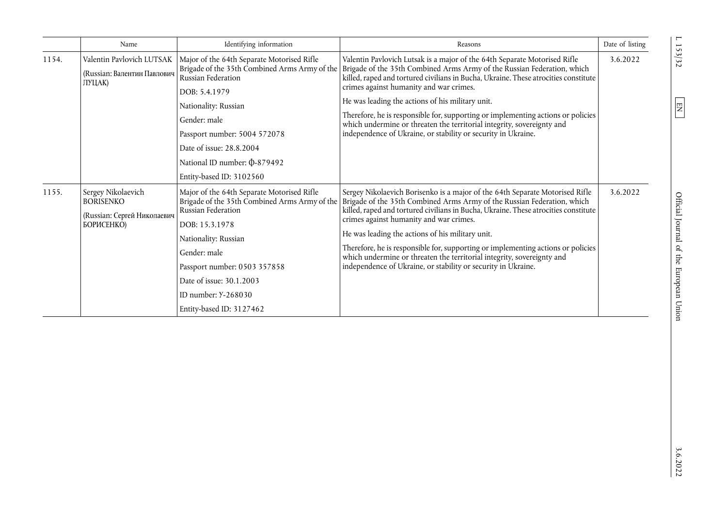|       | Name                                                                                       | Identifying information                                                                                                                                                                                                                                                                                                | Reasons                                                                                                                                                                                                                                                                                                                                                                                                                                                                                                                                                                      | Date of listing |
|-------|--------------------------------------------------------------------------------------------|------------------------------------------------------------------------------------------------------------------------------------------------------------------------------------------------------------------------------------------------------------------------------------------------------------------------|------------------------------------------------------------------------------------------------------------------------------------------------------------------------------------------------------------------------------------------------------------------------------------------------------------------------------------------------------------------------------------------------------------------------------------------------------------------------------------------------------------------------------------------------------------------------------|-----------------|
| 1154. | Valentin Pavlovich LUTSAK<br>(Russian: Валентин Павлович<br>ЛУЦАК)                         | Major of the 64th Separate Motorised Rifle<br>Brigade of the 35th Combined Arms Army of the<br>Russian Federation<br>DOB: 5.4.1979<br>Nationality: Russian<br>Gender: male<br>Passport number: 5004 572078<br>Date of issue: 28.8.2004<br>National ID number: \$0-879492                                               | Valentin Pavlovich Lutsak is a major of the 64th Separate Motorised Rifle<br>Brigade of the 35th Combined Arms Army of the Russian Federation, which<br>killed, raped and tortured civilians in Bucha, Ukraine. These atrocities constitute<br>crimes against humanity and war crimes.<br>He was leading the actions of his military unit.<br>Therefore, he is responsible for, supporting or implementing actions or policies<br>which undermine or threaten the territorial integrity, sovereignty and<br>independence of Ukraine, or stability or security in Ukraine.    | 3.6.2022        |
| 1155. | Sergey Nikolaevich<br><b>BORISENKO</b><br>(Russian: Сергей Николаевич<br><b>БОРИСЕНКО)</b> | Entity-based ID: 3102560<br>Major of the 64th Separate Motorised Rifle<br>Brigade of the 35th Combined Arms Army of the<br>Russian Federation<br>DOB: 15.3.1978<br>Nationality: Russian<br>Gender: male<br>Passport number: 0503 357858<br>Date of issue: 30.1.2003<br>ID number: Y-268030<br>Entity-based ID: 3127462 | Sergey Nikolaevich Borisenko is a major of the 64th Separate Motorised Rifle<br>Brigade of the 35th Combined Arms Army of the Russian Federation, which<br>killed, raped and tortured civilians in Bucha, Ukraine. These atrocities constitute<br>crimes against humanity and war crimes.<br>He was leading the actions of his military unit.<br>Therefore, he is responsible for, supporting or implementing actions or policies<br>which undermine or threaten the territorial integrity, sovereignty and<br>independence of Ukraine, or stability or security in Ukraine. | 3.6.2022        |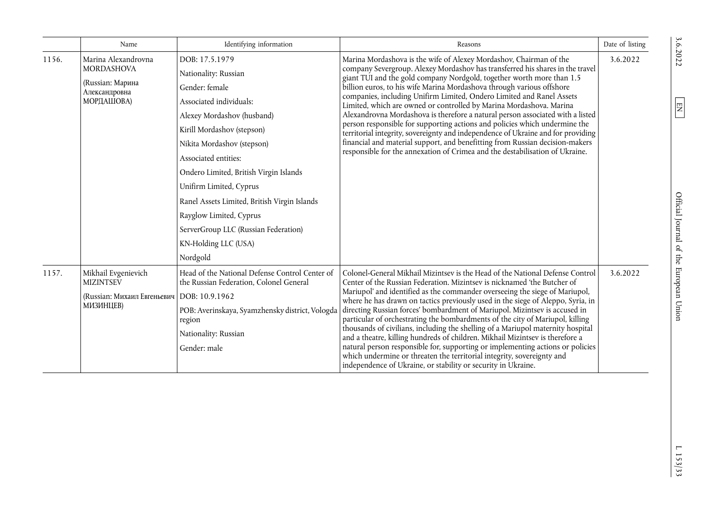|       | Name                                                                                        | Identifying information                                                                                                                                                                                                                                                                                                                                                                                                           | Reasons                                                                                                                                                                                                                                                                                                                                                                                                                                                                                                                                                                                                                                                                                                                                                                                                                                                                                     | Date of listing |
|-------|---------------------------------------------------------------------------------------------|-----------------------------------------------------------------------------------------------------------------------------------------------------------------------------------------------------------------------------------------------------------------------------------------------------------------------------------------------------------------------------------------------------------------------------------|---------------------------------------------------------------------------------------------------------------------------------------------------------------------------------------------------------------------------------------------------------------------------------------------------------------------------------------------------------------------------------------------------------------------------------------------------------------------------------------------------------------------------------------------------------------------------------------------------------------------------------------------------------------------------------------------------------------------------------------------------------------------------------------------------------------------------------------------------------------------------------------------|-----------------|
| 1156. | Marina Alexandrovna<br><b>MORDASHOVA</b><br>(Russian: Марина<br>Александровна<br>МОРДАШОВА) | DOB: 17.5.1979<br>Nationality: Russian<br>Gender: female<br>Associated individuals:<br>Alexey Mordashov (husband)<br>Kirill Mordashov (stepson)<br>Nikita Mordashov (stepson)<br>Associated entities:<br>Ondero Limited, British Virgin Islands<br>Unifirm Limited, Cyprus<br>Ranel Assets Limited, British Virgin Islands<br>Rayglow Limited, Cyprus<br>ServerGroup LLC (Russian Federation)<br>KN-Holding LLC (USA)<br>Nordgold | Marina Mordashova is the wife of Alexey Mordashov, Chairman of the<br>company Severgroup. Alexey Mordashov has transferred his shares in the travel<br>giant TUI and the gold company Nordgold, together worth more than 1.5<br>billion euros, to his wife Marina Mordashova through various offshore<br>companies, including Unifirm Limited, Ondero Limited and Ranel Assets<br>Limited, which are owned or controlled by Marina Mordashova. Marina<br>Alexandrovna Mordashova is therefore a natural person associated with a listed<br>person responsible for supporting actions and policies which undermine the<br>territorial integrity, sovereignty and independence of Ukraine and for providing<br>financial and material support, and benefitting from Russian decision-makers<br>responsible for the annexation of Crimea and the destabilisation of Ukraine.                   | 3.6.2022        |
| 1157. | Mikhail Evgenievich<br><b>MIZINTSEV</b><br>(Russian: Михаил Евгеньевич<br><b>МИЗИНЦЕВ)</b>  | Head of the National Defense Control Center of<br>the Russian Federation, Colonel General<br>$\text{IDOB: } 10.9.1962$<br>POB: Averinskaya, Syamzhensky district, Vologda<br>region<br>Nationality: Russian<br>Gender: male                                                                                                                                                                                                       | Colonel-General Mikhail Mizintsev is the Head of the National Defense Control<br>Center of the Russian Federation. Mizintsev is nicknamed 'the Butcher of<br>Mariupol' and identified as the commander overseeing the siege of Mariupol,<br>where he has drawn on tactics previously used in the siege of Aleppo, Syria, in<br>directing Russian forces' bombardment of Mariupol. Mizintsev is accused in<br>particular of orchestrating the bombardments of the city of Mariupol, killing<br>thousands of civilians, including the shelling of a Mariupol maternity hospital<br>and a theatre, killing hundreds of children. Mikhail Mizintsev is therefore a<br>natural person responsible for, supporting or implementing actions or policies<br>which undermine or threaten the territorial integrity, sovereignty and<br>independence of Ukraine, or stability or security in Ukraine. | 3.6.2022        |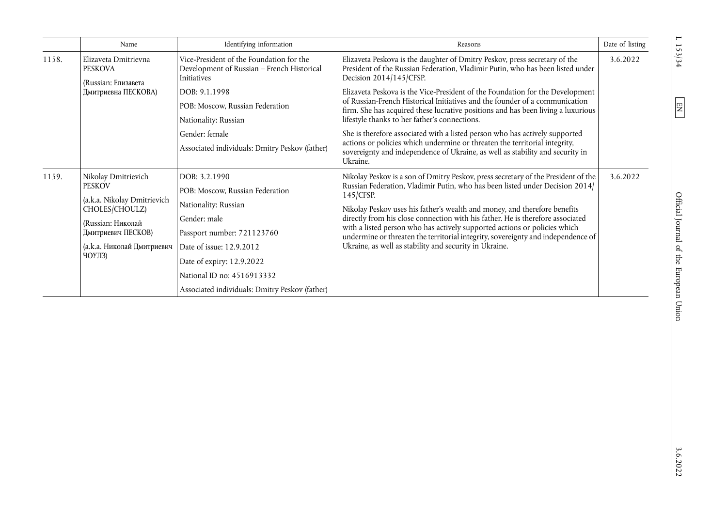|       | Name                                                          | Identifying information                                                                               | Reasons                                                                                                                                                                                                                                                     | Date of listing |
|-------|---------------------------------------------------------------|-------------------------------------------------------------------------------------------------------|-------------------------------------------------------------------------------------------------------------------------------------------------------------------------------------------------------------------------------------------------------------|-----------------|
| 1158. | Elizaveta Dmitrievna<br><b>PESKOVA</b><br>(Russian: Елизавета | Vice-President of the Foundation for the<br>Development of Russian - French Historical<br>Initiatives | Elizaveta Peskova is the daughter of Dmitry Peskov, press secretary of the<br>President of the Russian Federation, Vladimir Putin, who has been listed under<br>Decision 2014/145/CFSP.                                                                     | 3.6.2022        |
|       | Дмитриевна ПЕСКОВА)                                           | DOB: 9.1.1998                                                                                         | Elizaveta Peskova is the Vice-President of the Foundation for the Development                                                                                                                                                                               |                 |
|       |                                                               | POB: Moscow, Russian Federation                                                                       | of Russian-French Historical Initiatives and the founder of a communication<br>firm. She has acquired these lucrative positions and has been living a luxurious                                                                                             |                 |
|       |                                                               | Nationality: Russian                                                                                  | lifestyle thanks to her father's connections.                                                                                                                                                                                                               |                 |
|       |                                                               | Gender: female                                                                                        | She is therefore associated with a listed person who has actively supported                                                                                                                                                                                 |                 |
|       |                                                               | Associated individuals: Dmitry Peskov (father)                                                        | actions or policies which undermine or threaten the territorial integrity,<br>sovereignty and independence of Ukraine, as well as stability and security in<br>Ukraine.                                                                                     |                 |
| 1159. | Nikolay Dmitrievich                                           | DOB: 3.2.1990                                                                                         | Nikolay Peskov is a son of Dmitry Peskov, press secretary of the President of the<br>Russian Federation, Vladimir Putin, who has been listed under Decision 2014/<br>145/CFSP.<br>Nikolay Peskov uses his father's wealth and money, and therefore benefits | 3.6.2022        |
|       | <b>PESKOV</b>                                                 | POB: Moscow, Russian Federation                                                                       |                                                                                                                                                                                                                                                             |                 |
|       | (a.k.a. Nikolay Dmitrievich<br>CHOLES/CHOULZ)                 | Nationality: Russian                                                                                  |                                                                                                                                                                                                                                                             |                 |
|       | Gender: male<br>(Russian: Николай                             |                                                                                                       | directly from his close connection with his father. He is therefore associated                                                                                                                                                                              |                 |
|       | Дмитриевич ПЕСКОВ)                                            | Passport number: 721123760                                                                            | with a listed person who has actively supported actions or policies which<br>undermine or threaten the territorial integrity, sovereignty and independence of                                                                                               |                 |
|       | (а.к.а. Николай Дмитриевич                                    | Date of issue: 12.9.2012                                                                              | Ukraine, as well as stability and security in Ukraine.                                                                                                                                                                                                      |                 |
|       | ЧОУЛЗ)                                                        | Date of expiry: 12.9.2022                                                                             |                                                                                                                                                                                                                                                             |                 |
|       |                                                               | National ID no: 4516913332                                                                            |                                                                                                                                                                                                                                                             |                 |
|       |                                                               | Associated individuals: Dmitry Peskov (father)                                                        |                                                                                                                                                                                                                                                             |                 |

 $L \ 153/34$ 

 $\boxed{EN}$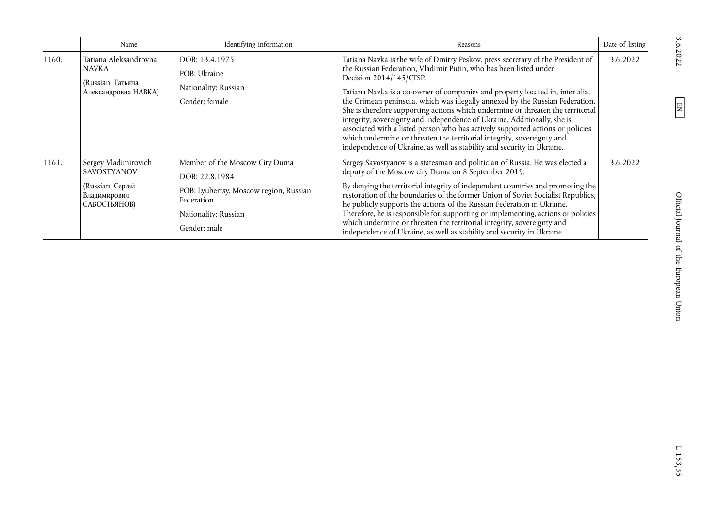|       | Name                                                                                           | Identifying information                                                                                                                          | Reasons                                                                                                                                                                                                                                                                                                                                                                                                                                                                                                                                                                                                                                                                                                                                                | Date of listing |
|-------|------------------------------------------------------------------------------------------------|--------------------------------------------------------------------------------------------------------------------------------------------------|--------------------------------------------------------------------------------------------------------------------------------------------------------------------------------------------------------------------------------------------------------------------------------------------------------------------------------------------------------------------------------------------------------------------------------------------------------------------------------------------------------------------------------------------------------------------------------------------------------------------------------------------------------------------------------------------------------------------------------------------------------|-----------------|
| 1160. | Tatiana Aleksandrovna<br><b>NAVKA</b><br>(Russian: Татьяна<br>Александровна НАВКА)             | DOB: 13.4.1975<br>POB: Ukraine<br>Nationality: Russian<br>Gender: female                                                                         | Tatiana Navka is the wife of Dmitry Peskov, press secretary of the President of<br>the Russian Federation, Vladimir Putin, who has been listed under<br>Decision 2014/145/CFSP.<br>Tatiana Navka is a co-owner of companies and property located in, inter alia,<br>the Crimean peninsula, which was illegally annexed by the Russian Federation.<br>She is therefore supporting actions which undermine or threaten the territorial<br>integrity, sovereignty and independence of Ukraine. Additionally, she is<br>associated with a listed person who has actively supported actions or policies<br>which undermine or threaten the territorial integrity, sovereignty and<br>independence of Ukraine, as well as stability and security in Ukraine. | 3.6.2022        |
| 1161. | Sergey Vladimirovich<br><b>SAVOSTYANOV</b><br>(Russian: Сергей<br>Владимирович<br>САВОСТЬЯНОВ) | Member of the Moscow City Duma<br>DOB: 22.8.1984<br>POB: Lyubertsy, Moscow region, Russian<br>Federation<br>Nationality: Russian<br>Gender: male | Sergey Savostyanov is a statesman and politician of Russia. He was elected a<br>deputy of the Moscow city Duma on 8 September 2019.<br>By denying the territorial integrity of independent countries and promoting the<br>restoration of the boundaries of the former Union of Soviet Socialist Republics,<br>he publicly supports the actions of the Russian Federation in Ukraine.<br>Therefore, he is responsible for, supporting or implementing, actions or policies<br>which undermine or threaten the territorial integrity, sovereignty and<br>independence of Ukraine, as well as stability and security in Ukraine.                                                                                                                          | 3.6.2022        |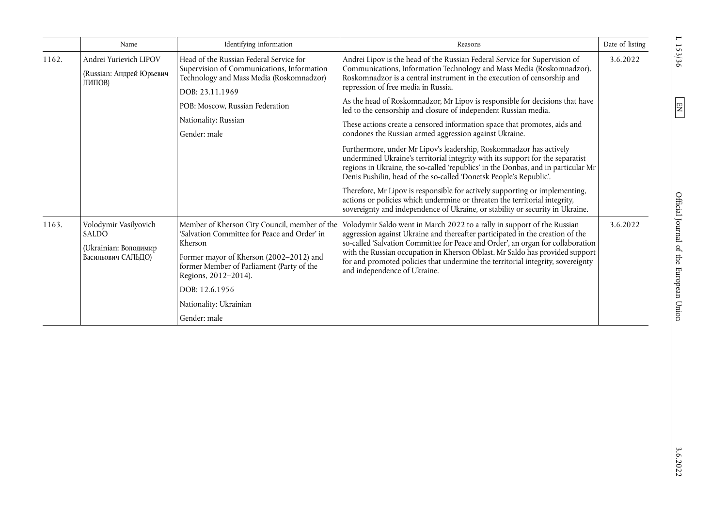|       | Name                                                                                 | Identifying information                                                                                                                                                                                                                                                              | Reasons                                                                                                                                                                                                                                                                                                                                                                                                                                                                                                                                                                                                                                                                                                                                                                                                                                                                                                                                                                                                                                          | Date of listing |
|-------|--------------------------------------------------------------------------------------|--------------------------------------------------------------------------------------------------------------------------------------------------------------------------------------------------------------------------------------------------------------------------------------|--------------------------------------------------------------------------------------------------------------------------------------------------------------------------------------------------------------------------------------------------------------------------------------------------------------------------------------------------------------------------------------------------------------------------------------------------------------------------------------------------------------------------------------------------------------------------------------------------------------------------------------------------------------------------------------------------------------------------------------------------------------------------------------------------------------------------------------------------------------------------------------------------------------------------------------------------------------------------------------------------------------------------------------------------|-----------------|
| 1162. | Andrei Yurievich LIPOV<br>(Russian: Андрей Юрьевич<br>ЛИПОВ)                         | Head of the Russian Federal Service for<br>Supervision of Communications, Information<br>Technology and Mass Media (Roskomnadzor)<br>DOB: 23.11.1969<br>POB: Moscow, Russian Federation<br>Nationality: Russian<br>Gender: male                                                      | Andrei Lipov is the head of the Russian Federal Service for Supervision of<br>Communications, Information Technology and Mass Media (Roskomnadzor).<br>Roskomnadzor is a central instrument in the execution of censorship and<br>repression of free media in Russia.<br>As the head of Roskomnadzor, Mr Lipov is responsible for decisions that have<br>led to the censorship and closure of independent Russian media.<br>These actions create a censored information space that promotes, aids and<br>condones the Russian armed aggression against Ukraine.<br>Furthermore, under Mr Lipov's leadership, Roskomnadzor has actively<br>undermined Ukraine's territorial integrity with its support for the separatist<br>regions in Ukraine, the so-called 'republics' in the Donbas, and in particular Mr<br>Denis Pushilin, head of the so-called 'Donetsk People's Republic'.<br>Therefore, Mr Lipov is responsible for actively supporting or implementing,<br>actions or policies which undermine or threaten the territorial integrity, | 3.6.2022        |
| 1163. | Volodymir Vasilyovich<br><b>SALDO</b><br>(Ukrainian: Володимир<br>Васильович САЛЬДО) | Member of Kherson City Council, member of the<br>'Salvation Committee for Peace and Order' in<br>Kherson<br>Former mayor of Kherson (2002-2012) and<br>former Member of Parliament (Party of the<br>Regions, 2012-2014).<br>DOB: 12.6.1956<br>Nationality: Ukrainian<br>Gender: male | sovereignty and independence of Ukraine, or stability or security in Ukraine.<br>Volodymir Saldo went in March 2022 to a rally in support of the Russian<br>aggression against Ukraine and thereafter participated in the creation of the<br>so-called 'Salvation Committee for Peace and Order', an organ for collaboration<br>with the Russian occupation in Kherson Oblast. Mr Saldo has provided support<br>for and promoted policies that undermine the territorial integrity, sovereignty<br>and independence of Ukraine.                                                                                                                                                                                                                                                                                                                                                                                                                                                                                                                  | 3.6.2022        |

 $E = \frac{153}{156}$  of  $E = \frac{157}{156}$  of  $E = \frac{157}{156}$  of  $E = \frac{157}{156}$  of  $E = \frac{157}{156}$  of  $E = \frac{157}{156}$  or  $E = \frac{157}{156}$  or  $E = \frac{157}{156}$  or  $E = \frac{157}{156}$  or  $E = \frac{157}{156}$  or  $E = \frac{157}{156}$  or  $E = \frac{157}{15$ Official Journal of the European Union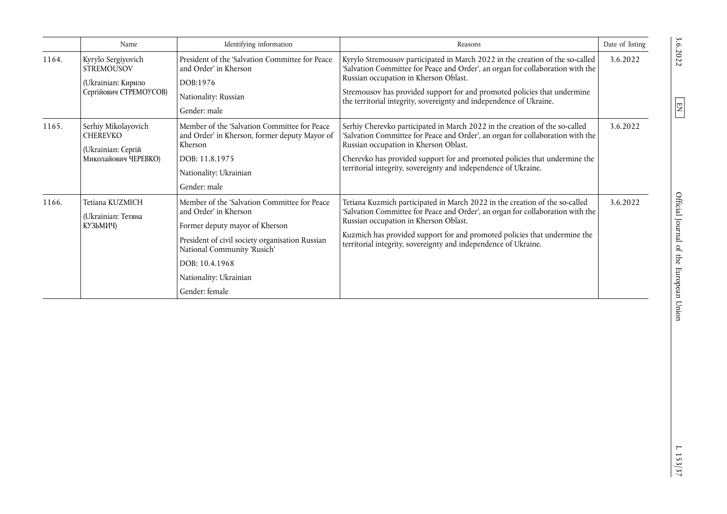|       | Name                                                                                    | Identifying information                                                                                                                                                                                                                                 | Reasons                                                                                                                                                                                                                                                                                                                                                     | Date of listing |
|-------|-----------------------------------------------------------------------------------------|---------------------------------------------------------------------------------------------------------------------------------------------------------------------------------------------------------------------------------------------------------|-------------------------------------------------------------------------------------------------------------------------------------------------------------------------------------------------------------------------------------------------------------------------------------------------------------------------------------------------------------|-----------------|
| 1164. | Kyrylo Sergiyovich<br><b>STREMOUSOV</b><br>(Ukrainian: Кирило<br>Сергійович СТРЕМОУСОВ) | President of the 'Salvation Committee for Peace<br>and Order' in Kherson<br>DOB:1976<br>Nationality: Russian<br>Gender: male                                                                                                                            | Kyrylo Stremousov participated in March 2022 in the creation of the so-called<br>'Salvation Committee for Peace and Order', an organ for collaboration with the<br>Russian occupation in Kherson Oblast.<br>Stremousov has provided support for and promoted policies that undermine<br>the territorial integrity, sovereignty and independence of Ukraine. | 3.6.2022        |
| 1165. | Serhiy Mikolayovich<br><b>CHEREVKO</b><br>(Ukrainian: Сергій<br>Миколайович ЧЕРЕВКО)    | Member of the 'Salvation Committee for Peace<br>and Order' in Kherson, former deputy Mayor of<br>Kherson<br>DOB: 11.8.1975<br>Nationality: Ukrainian<br>Gender: male                                                                                    | Serhiy Cherevko participated in March 2022 in the creation of the so-called<br>'Salvation Committee for Peace and Order', an organ for collaboration with the<br>Russian occupation in Kherson Oblast.<br>Cherevko has provided support for and promoted policies that undermine the<br>territorial integrity, sovereignty and independence of Ukraine.     | 3.6.2022        |
| 1166. | Tetiana KUZMICH<br>(Ukrainian: Тетяна<br>КУЗЬМИЧ)                                       | Member of the 'Salvation Committee for Peace<br>and Order' in Kherson<br>Former deputy mayor of Kherson<br>President of civil society organisation Russian<br>National Community 'Rusich'<br>DOB: 10.4.1968<br>Nationality: Ukrainian<br>Gender: female | Tetiana Kuzmich participated in March 2022 in the creation of the so-called<br>'Salvation Committee for Peace and Order', an organ for collaboration with the<br>Russian occupation in Kherson Oblast.<br>Kuzmich has provided support for and promoted policies that undermine the<br>territorial integrity, sovereignty and independence of Ukraine.      | 3.6.2022        |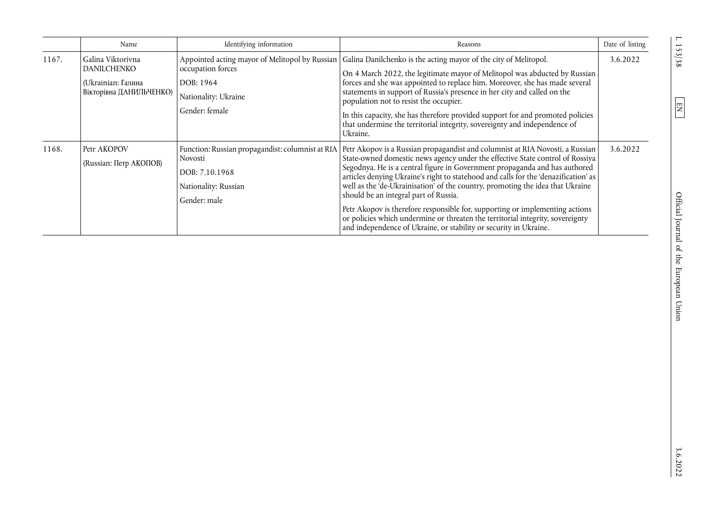|       | Name                                                                                     | Identifying information                                                                                                    | Reasons                                                                                                                                                                                                                                                                                                                                                                                                                                                                                                                                                                                                                                                                                               | Date of listing |
|-------|------------------------------------------------------------------------------------------|----------------------------------------------------------------------------------------------------------------------------|-------------------------------------------------------------------------------------------------------------------------------------------------------------------------------------------------------------------------------------------------------------------------------------------------------------------------------------------------------------------------------------------------------------------------------------------------------------------------------------------------------------------------------------------------------------------------------------------------------------------------------------------------------------------------------------------------------|-----------------|
| 1167. | Galina Viktorivna<br><b>DANILCHENKO</b><br>(Ukrainian: Галина<br>Вікторівна ДАНИЛЬЧЕНКО) | Appointed acting mayor of Melitopol by Russian<br>occupation forces<br>DOB: 1964<br>Nationality: Ukraine<br>Gender: female | Galina Danilchenko is the acting mayor of the city of Melitopol.<br>On 4 March 2022, the legitimate mayor of Melitopol was abducted by Russian<br>forces and she was appointed to replace him. Moreover, she has made several<br>statements in support of Russia's presence in her city and called on the<br>population not to resist the occupier.<br>In this capacity, she has therefore provided support for and promoted policies<br>that undermine the territorial integrity, sovereignty and independence of<br>Ukraine.                                                                                                                                                                        | 3.6.2022        |
| 1168. | Petr AKOPOV<br>(Russian: Петр АКОПОВ)                                                    | Function: Russian propagandist: columnist at RIA<br>Novosti<br>DOB: 7.10.1968<br>Nationality: Russian<br>Gender: male      | Petr Akopov is a Russian propagandist and columnist at RIA Novosti, a Russian<br>State-owned domestic news agency under the effective State control of Rossiya<br>Segodnya. He is a central figure in Government propaganda and has authored<br>articles denying Ukraine's right to statehood and calls for the 'denazification' as<br>well as the 'de-Ukrainisation' of the country, promoting the idea that Ukraine<br>should be an integral part of Russia.<br>Petr Akopov is therefore responsible for, supporting or implementing actions<br>or policies which undermine or threaten the territorial integrity, sovereignty<br>and independence of Ukraine, or stability or security in Ukraine. | 3.6.2022        |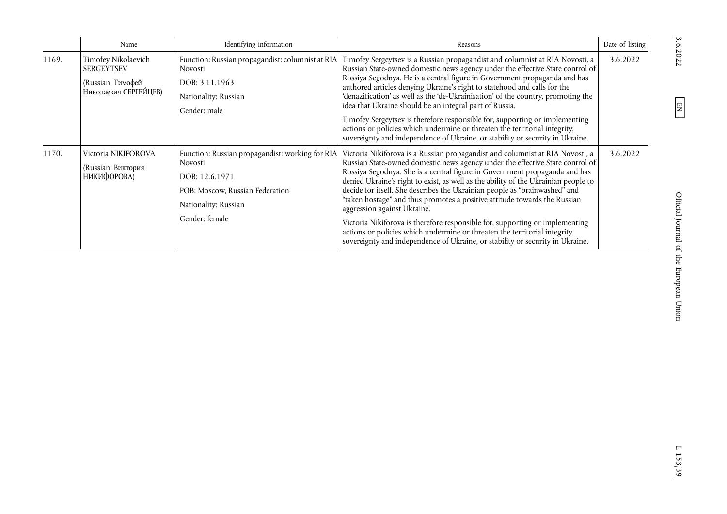|       | Name                                                                                   | Identifying information                                                                                                                                   | Reasons                                                                                                                                                                                                                                                                                                                                                                                                                                                                                                                                                                                                                                                                                                                                                                     | Date of listing |
|-------|----------------------------------------------------------------------------------------|-----------------------------------------------------------------------------------------------------------------------------------------------------------|-----------------------------------------------------------------------------------------------------------------------------------------------------------------------------------------------------------------------------------------------------------------------------------------------------------------------------------------------------------------------------------------------------------------------------------------------------------------------------------------------------------------------------------------------------------------------------------------------------------------------------------------------------------------------------------------------------------------------------------------------------------------------------|-----------------|
| 1169. | Timofey Nikolaevich<br><b>SERGEYTSEV</b><br>(Russian: Тимофей<br>Николаевич СЕРГЕЙЦЕВ) | Function: Russian propagandist: columnist at RIA<br>Novosti<br>DOB: 3.11.1963<br>Nationality: Russian<br>Gender: male                                     | Timofey Sergeytsev is a Russian propagandist and columnist at RIA Novosti, a<br>Russian State-owned domestic news agency under the effective State control of<br>Rossiya Segodnya. He is a central figure in Government propaganda and has<br>authored articles denying Ukraine's right to statehood and calls for the<br>'denazification' as well as the 'de-Ukrainisation' of the country, promoting the<br>idea that Ukraine should be an integral part of Russia.<br>Timofey Sergeytsev is therefore responsible for, supporting or implementing<br>actions or policies which undermine or threaten the territorial integrity,<br>sovereignty and independence of Ukraine, or stability or security in Ukraine.                                                         | 3.6.2022        |
| 1170. | Victoria NIKIFOROVA<br>(Russian: Виктория<br>НИКИФОРОВА)                               | Function: Russian propagandist: working for RIA<br>Novosti<br>DOB: 12.6.1971<br>POB: Moscow, Russian Federation<br>Nationality: Russian<br>Gender: female | Victoria Nikiforova is a Russian propagandist and columnist at RIA Novosti, a<br>Russian State-owned domestic news agency under the effective State control of<br>Rossiya Segodnya. She is a central figure in Government propaganda and has<br>denied Ukraine's right to exist, as well as the ability of the Ukrainian people to<br>decide for itself. She describes the Ukrainian people as "brainwashed" and<br>"taken hostage" and thus promotes a positive attitude towards the Russian<br>aggression against Ukraine.<br>Victoria Nikiforova is therefore responsible for, supporting or implementing<br>actions or policies which undermine or threaten the territorial integrity,<br>sovereignty and independence of Ukraine, or stability or security in Ukraine. | 3.6.2022        |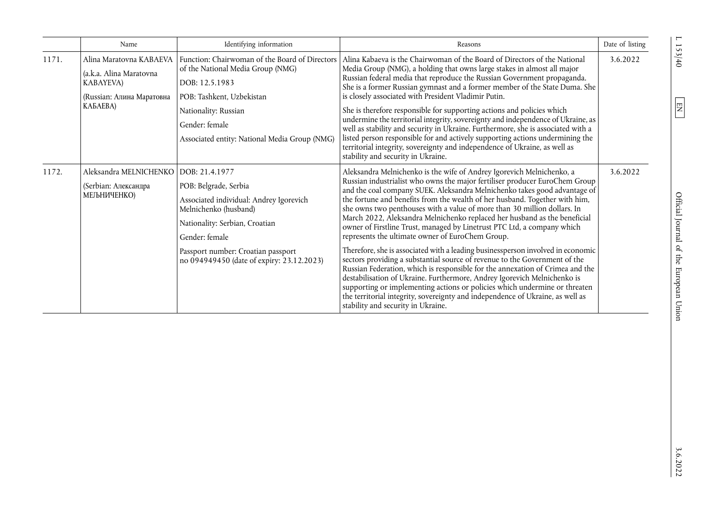|       | Name                                                                                                | Identifying information                                                                                                                                                                                                                                                                                                                                                                                                                                                                                     | Reasons                                                                                                                                                                                                                                                                                                                                                                                                                                                                                                                                                                                                                                                                                                                                                                                                                                                                                                                                                                                                                                                                                                                                      | Date of listing |
|-------|-----------------------------------------------------------------------------------------------------|-------------------------------------------------------------------------------------------------------------------------------------------------------------------------------------------------------------------------------------------------------------------------------------------------------------------------------------------------------------------------------------------------------------------------------------------------------------------------------------------------------------|----------------------------------------------------------------------------------------------------------------------------------------------------------------------------------------------------------------------------------------------------------------------------------------------------------------------------------------------------------------------------------------------------------------------------------------------------------------------------------------------------------------------------------------------------------------------------------------------------------------------------------------------------------------------------------------------------------------------------------------------------------------------------------------------------------------------------------------------------------------------------------------------------------------------------------------------------------------------------------------------------------------------------------------------------------------------------------------------------------------------------------------------|-----------------|
| 1171. | Alina Maratovna KABAEVA<br>(a.k.a. Alina Maratovna<br><b>KABAYEVA)</b><br>(Russian: Алина Маратовна | Alina Kabaeva is the Chairwoman of the Board of Directors of the National<br>Function: Chairwoman of the Board of Directors<br>Media Group (NMG), a holding that owns large stakes in almost all major<br>of the National Media Group (NMG)<br>Russian federal media that reproduce the Russian Government propaganda.<br>DOB: 12.5.1983<br>She is a former Russian gymnast and a former member of the State Duma. She<br>is closely associated with President Vladimir Putin.<br>POB: Tashkent, Uzbekistan | 3.6.2022                                                                                                                                                                                                                                                                                                                                                                                                                                                                                                                                                                                                                                                                                                                                                                                                                                                                                                                                                                                                                                                                                                                                     |                 |
|       | КАБАЕВА)                                                                                            | Nationality: Russian<br>Gender: female<br>Associated entity: National Media Group (NMG)                                                                                                                                                                                                                                                                                                                                                                                                                     | She is therefore responsible for supporting actions and policies which<br>undermine the territorial integrity, sovereignty and independence of Ukraine, as<br>well as stability and security in Ukraine. Furthermore, she is associated with a<br>listed person responsible for and actively supporting actions undermining the<br>territorial integrity, sovereignty and independence of Ukraine, as well as<br>stability and security in Ukraine.                                                                                                                                                                                                                                                                                                                                                                                                                                                                                                                                                                                                                                                                                          |                 |
| 1172. | Aleksandra MELNICHENKO<br>(Serbian: Александра<br>МЕЉНИЧЕНКО)                                       | DOB: 21.4.1977<br>POB: Belgrade, Serbia<br>Associated individual: Andrey Igorevich<br>Melnichenko (husband)<br>Nationality: Serbian, Croatian<br>Gender: female<br>Passport number: Croatian passport<br>no 094949450 (date of expiry: 23.12.2023)                                                                                                                                                                                                                                                          | Aleksandra Melnichenko is the wife of Andrey Igorevich Melnichenko, a<br>Russian industrialist who owns the major fertiliser producer EuroChem Group<br>and the coal company SUEK. Aleksandra Melnichenko takes good advantage of<br>the fortune and benefits from the wealth of her husband. Together with him,<br>she owns two penthouses with a value of more than 30 million dollars. In<br>March 2022, Aleksandra Melnichenko replaced her husband as the beneficial<br>owner of Firstline Trust, managed by Linetrust PTC Ltd, a company which<br>represents the ultimate owner of EuroChem Group.<br>Therefore, she is associated with a leading businessperson involved in economic<br>sectors providing a substantial source of revenue to the Government of the<br>Russian Federation, which is responsible for the annexation of Crimea and the<br>destabilisation of Ukraine. Furthermore, Andrey Igorevich Melnichenko is<br>supporting or implementing actions or policies which undermine or threaten<br>the territorial integrity, sovereignty and independence of Ukraine, as well as<br>stability and security in Ukraine. | 3.6.2022        |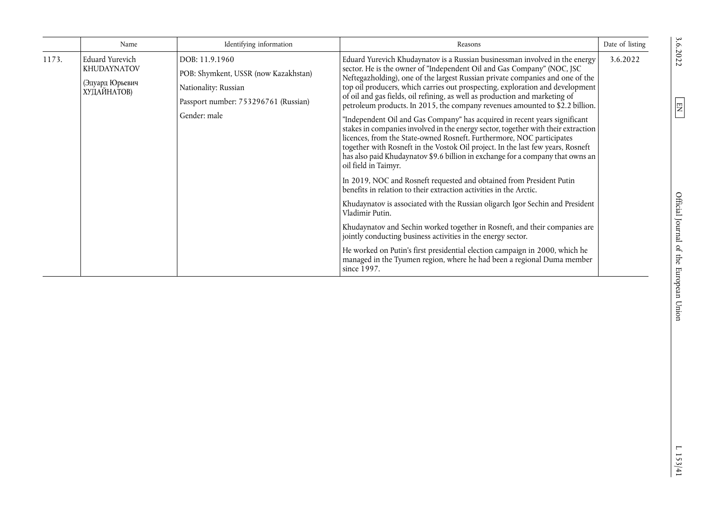|       | Name                                                                           | Identifying information                                                                                                                | Reasons                                                                                                                                                                                                                                                                                                                                                                                                                                                                                                                                                                                                                                                                                                                                                                                                                                                                                                                                                                                                                                                                                                                                                                                                                                                                                                                                                                                                                                                                                                 | Date of listing |
|-------|--------------------------------------------------------------------------------|----------------------------------------------------------------------------------------------------------------------------------------|---------------------------------------------------------------------------------------------------------------------------------------------------------------------------------------------------------------------------------------------------------------------------------------------------------------------------------------------------------------------------------------------------------------------------------------------------------------------------------------------------------------------------------------------------------------------------------------------------------------------------------------------------------------------------------------------------------------------------------------------------------------------------------------------------------------------------------------------------------------------------------------------------------------------------------------------------------------------------------------------------------------------------------------------------------------------------------------------------------------------------------------------------------------------------------------------------------------------------------------------------------------------------------------------------------------------------------------------------------------------------------------------------------------------------------------------------------------------------------------------------------|-----------------|
| 1173. | <b>Eduard Yurevich</b><br><b>KHUDAYNATOV</b><br>(Эдуард Юрьевич<br>ХУДАЙНАТОВ) | DOB: 11.9.1960<br>POB: Shymkent, USSR (now Kazakhstan)<br>Nationality: Russian<br>Passport number: 753296761 (Russian)<br>Gender: male | Eduard Yurevich Khudaynatov is a Russian businessman involved in the energy<br>sector. He is the owner of "Independent Oil and Gas Company" (NOC, JSC<br>Neftegazholding), one of the largest Russian private companies and one of the<br>top oil producers, which carries out prospecting, exploration and development<br>of oil and gas fields, oil refining, as well as production and marketing of<br>petroleum products. In 2015, the company revenues amounted to \$2.2 billion.<br>"Independent Oil and Gas Company" has acquired in recent years significant<br>stakes in companies involved in the energy sector, together with their extraction<br>licences, from the State-owned Rosneft. Furthermore, NOC participates<br>together with Rosneft in the Vostok Oil project. In the last few years, Rosneft<br>has also paid Khudaynatov \$9.6 billion in exchange for a company that owns an<br>oil field in Taimyr.<br>In 2019, NOC and Rosneft requested and obtained from President Putin<br>benefits in relation to their extraction activities in the Arctic.<br>Khudaynatov is associated with the Russian oligarch Igor Sechin and President<br>Vladimir Putin.<br>Khudaynatov and Sechin worked together in Rosneft, and their companies are<br>jointly conducting business activities in the energy sector.<br>He worked on Putin's first presidential election campaign in 2000, which he<br>managed in the Tyumen region, where he had been a regional Duma member<br>since 1997. | 3.6.2022        |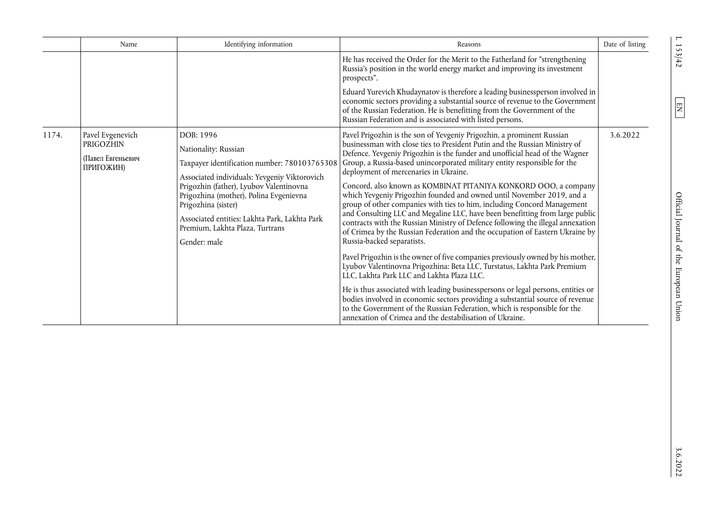|       | Name                                                            | Identifying information                                                                                                                                                                                                                                                                                                                           | Reasons                                                                                                                                                                                                                                                                                                                                                                                                                                                                                                                                                                                                                                                                                                                                                                                                                                                                                                                                                                                                                                                                                                                                                                                                                                                                                                                                                                                   | Date of listing |
|-------|-----------------------------------------------------------------|---------------------------------------------------------------------------------------------------------------------------------------------------------------------------------------------------------------------------------------------------------------------------------------------------------------------------------------------------|-------------------------------------------------------------------------------------------------------------------------------------------------------------------------------------------------------------------------------------------------------------------------------------------------------------------------------------------------------------------------------------------------------------------------------------------------------------------------------------------------------------------------------------------------------------------------------------------------------------------------------------------------------------------------------------------------------------------------------------------------------------------------------------------------------------------------------------------------------------------------------------------------------------------------------------------------------------------------------------------------------------------------------------------------------------------------------------------------------------------------------------------------------------------------------------------------------------------------------------------------------------------------------------------------------------------------------------------------------------------------------------------|-----------------|
|       |                                                                 |                                                                                                                                                                                                                                                                                                                                                   | He has received the Order for the Merit to the Fatherland for "strengthening<br>Russia's position in the world energy market and improving its investment<br>prospects".                                                                                                                                                                                                                                                                                                                                                                                                                                                                                                                                                                                                                                                                                                                                                                                                                                                                                                                                                                                                                                                                                                                                                                                                                  |                 |
|       |                                                                 |                                                                                                                                                                                                                                                                                                                                                   | Eduard Yurevich Khudaynatov is therefore a leading businessperson involved in<br>economic sectors providing a substantial source of revenue to the Government<br>of the Russian Federation. He is benefitting from the Government of the<br>Russian Federation and is associated with listed persons.                                                                                                                                                                                                                                                                                                                                                                                                                                                                                                                                                                                                                                                                                                                                                                                                                                                                                                                                                                                                                                                                                     |                 |
| 1174. | Pavel Evgenevich<br>PRIGOZHIN<br>(Павел Евгеньевич<br>ПРИГОЖИН) | DOB: 1996<br>Nationality: Russian<br>Taxpayer identification number: 780103765308<br>Associated individuals: Yevgeniy Viktorovich<br>Prigozhin (father), Lyubov Valentinovna<br>Prigozhina (mother), Polina Evgenievna<br>Prigozhina (sister)<br>Associated entities: Lakhta Park, Lakhta Park<br>Premium, Lakhta Plaza, Turtrans<br>Gender: male | Pavel Prigozhin is the son of Yevgeniy Prigozhin, a prominent Russian<br>businessman with close ties to President Putin and the Russian Ministry of<br>Defence. Yevgeniy Prigozhin is the funder and unofficial head of the Wagner<br>Group, a Russia-based unincorporated military entity responsible for the<br>deployment of mercenaries in Ukraine.<br>Concord, also known as KOMBINAT PITANIYA KONKORD OOO, a company<br>which Yevgeniy Prigozhin founded and owned until November 2019, and a<br>group of other companies with ties to him, including Concord Management<br>and Consulting LLC and Megaline LLC, have been benefitting from large public<br>contracts with the Russian Ministry of Defence following the illegal annexation<br>of Crimea by the Russian Federation and the occupation of Eastern Ukraine by<br>Russia-backed separatists.<br>Pavel Prigozhin is the owner of five companies previously owned by his mother,<br>Lyubov Valentinovna Prigozhina: Beta LLC, Turstatus, Lakhta Park Premium<br>LLC, Lakhta Park LLC and Lakhta Plaza LLC.<br>He is thus associated with leading businesspersons or legal persons, entities or<br>bodies involved in economic sectors providing a substantial source of revenue<br>to the Government of the Russian Federation, which is responsible for the<br>annexation of Crimea and the destabilisation of Ukraine. | 3.6.2022        |

 $1.153/42$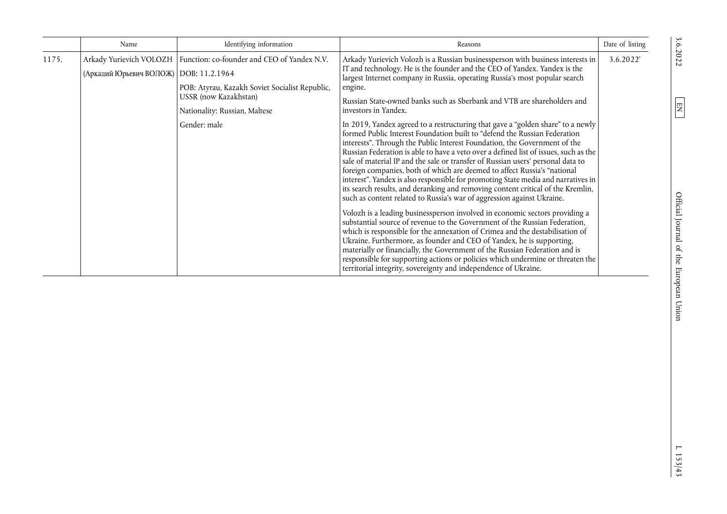|       | Name                                     | Identifying information                                                                                                                                                           | Reasons                                                                                                                                                                                                                                                                                                                                                                                                                                                                                                                                                                                                                                                                                                                                            | Date of listing |
|-------|------------------------------------------|-----------------------------------------------------------------------------------------------------------------------------------------------------------------------------------|----------------------------------------------------------------------------------------------------------------------------------------------------------------------------------------------------------------------------------------------------------------------------------------------------------------------------------------------------------------------------------------------------------------------------------------------------------------------------------------------------------------------------------------------------------------------------------------------------------------------------------------------------------------------------------------------------------------------------------------------------|-----------------|
| 1175. | (Аркадий Юрьевич ВОЛОЖ)   DOB: 11.2.1964 | Arkady Yurievich VOLOZH   Function: co-founder and CEO of Yandex N.V.<br>POB: Atyrau, Kazakh Soviet Socialist Republic,<br>USSR (now Kazakhstan)<br>Nationality: Russian, Maltese | Arkady Yurievich Volozh is a Russian businessperson with business interests in<br>IT and technology. He is the founder and the CEO of Yandex. Yandex is the<br>largest Internet company in Russia, operating Russia's most popular search<br>engine.<br>Russian State-owned banks such as Sberbank and VTB are shareholders and<br>investors in Yandex.                                                                                                                                                                                                                                                                                                                                                                                            | 3.6.2022'       |
|       |                                          | Gender: male                                                                                                                                                                      | In 2019, Yandex agreed to a restructuring that gave a "golden share" to a newly<br>formed Public Interest Foundation built to "defend the Russian Federation<br>interests". Through the Public Interest Foundation, the Government of the<br>Russian Federation is able to have a veto over a defined list of issues, such as the<br>sale of material IP and the sale or transfer of Russian users' personal data to<br>foreign companies, both of which are deemed to affect Russia's "national<br>interest". Yandex is also responsible for promoting State media and narratives in<br>its search results, and deranking and removing content critical of the Kremlin,<br>such as content related to Russia's war of aggression against Ukraine. |                 |
|       |                                          |                                                                                                                                                                                   | Volozh is a leading businessperson involved in economic sectors providing a<br>substantial source of revenue to the Government of the Russian Federation,<br>which is responsible for the annexation of Crimea and the destabilisation of<br>Ukraine. Furthermore, as founder and CEO of Yandex, he is supporting,<br>materially or financially, the Government of the Russian Federation and is<br>responsible for supporting actions or policies which undermine or threaten the<br>territorial integrity, sovereignty and independence of Ukraine.                                                                                                                                                                                              |                 |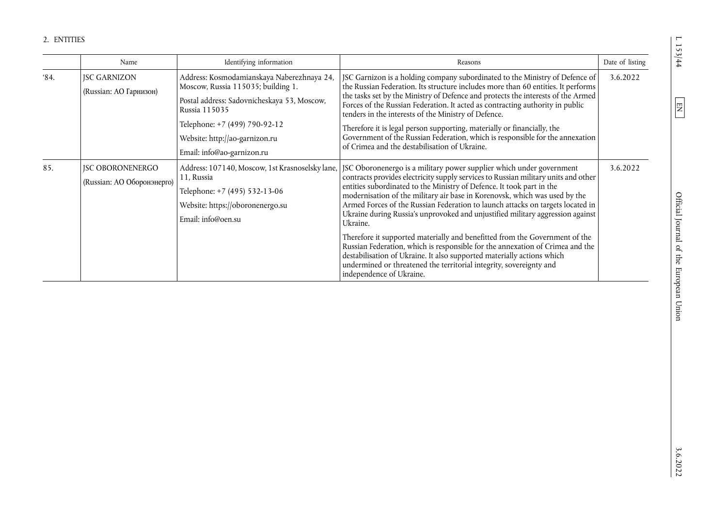|               | Name                                                  | Identifying information                                                                                                                                                                                                                           | Reasons                                                                                                                                                                                                                                                                                                                                                                                                                                                                                                                                                                                                                                                                                                                                                                                                                                        | Date of listing |
|---------------|-------------------------------------------------------|---------------------------------------------------------------------------------------------------------------------------------------------------------------------------------------------------------------------------------------------------|------------------------------------------------------------------------------------------------------------------------------------------------------------------------------------------------------------------------------------------------------------------------------------------------------------------------------------------------------------------------------------------------------------------------------------------------------------------------------------------------------------------------------------------------------------------------------------------------------------------------------------------------------------------------------------------------------------------------------------------------------------------------------------------------------------------------------------------------|-----------------|
| $^{\circ}84.$ | <b>JSC GARNIZON</b><br>(Russian: AO Гарнизон)         | Address: Kosmodamianskaya Naberezhnaya 24,<br>Moscow, Russia 115035; building 1.<br>Postal address: Sadovnicheskaya 53, Moscow,<br>Russia 115035<br>Telephone: +7 (499) 790-92-12<br>Website: http://ao-garnizon.ru<br>Email: info@ao-garnizon.ru | JSC Garnizon is a holding company subordinated to the Ministry of Defence of<br>the Russian Federation. Its structure includes more than 60 entities. It performs<br>the tasks set by the Ministry of Defence and protects the interests of the Armed<br>Forces of the Russian Federation. It acted as contracting authority in public<br>tenders in the interests of the Ministry of Defence.<br>Therefore it is legal person supporting, materially or financially, the<br>Government of the Russian Federation, which is responsible for the annexation<br>of Crimea and the destabilisation of Ukraine.                                                                                                                                                                                                                                    | 3.6.2022        |
| 85.           | <b>JSC OBORONENERGO</b><br>(Russian: AO Оборонэнерго) | Address: 107140, Moscow, 1st Krasnoselsky lane,<br>11, Russia<br>Telephone: +7 (495) 532-13-06<br>Website: https://oboronenergo.su<br>Email: info@oen.su                                                                                          | JSC Oboronenergo is a military power supplier which under government<br>contracts provides electricity supply services to Russian military units and other<br>entities subordinated to the Ministry of Defence. It took part in the<br>modernisation of the military air base in Korenovsk, which was used by the<br>Armed Forces of the Russian Federation to launch attacks on targets located in<br>Ukraine during Russia's unprovoked and unjustified military aggression against<br>Ukraine.<br>Therefore it supported materially and benefitted from the Government of the<br>Russian Federation, which is responsible for the annexation of Crimea and the<br>destabilisation of Ukraine. It also supported materially actions which<br>undermined or threatened the territorial integrity, sovereignty and<br>independence of Ukraine. | 3.6.2022        |

 $\boxed{EN}$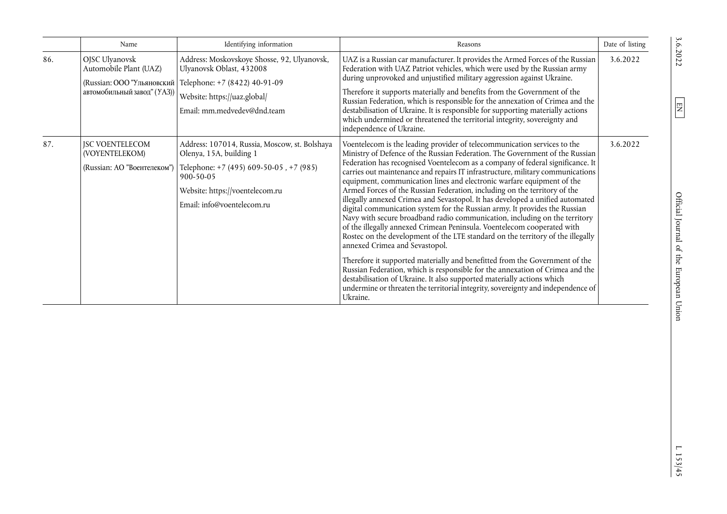|     | Name                                                                    | Identifying information                                                                                                                                                                                 | Reasons                                                                                                                                                                                                                                                                                                                                                                                                                                                                                                                                                                                                                                                                                                                                                                                                                                                                                                                                                                                                                                                                                                                                                                                                                                                                    | Date of listing |
|-----|-------------------------------------------------------------------------|---------------------------------------------------------------------------------------------------------------------------------------------------------------------------------------------------------|----------------------------------------------------------------------------------------------------------------------------------------------------------------------------------------------------------------------------------------------------------------------------------------------------------------------------------------------------------------------------------------------------------------------------------------------------------------------------------------------------------------------------------------------------------------------------------------------------------------------------------------------------------------------------------------------------------------------------------------------------------------------------------------------------------------------------------------------------------------------------------------------------------------------------------------------------------------------------------------------------------------------------------------------------------------------------------------------------------------------------------------------------------------------------------------------------------------------------------------------------------------------------|-----------------|
| 86. | OJSC Ulyanovsk<br>Automobile Plant (UAZ)<br>автомобильный завод" (УАЗ)) | Address: Moskovskoye Shosse, 92, Ulyanovsk,<br>Ulyanovsk Oblast, 432008<br>(Russian: ООО "Ульяновский   Telephone: +7 (8422) 40-91-09<br>Website: https://uaz.global/<br>Email: mm.medvedev@dnd.team    | UAZ is a Russian car manufacturer. It provides the Armed Forces of the Russian<br>Federation with UAZ Patriot vehicles, which were used by the Russian army<br>during unprovoked and unjustified military aggression against Ukraine.<br>Therefore it supports materially and benefits from the Government of the<br>Russian Federation, which is responsible for the annexation of Crimea and the<br>destabilisation of Ukraine. It is responsible for supporting materially actions<br>which undermined or threatened the territorial integrity, sovereignty and<br>independence of Ukraine.                                                                                                                                                                                                                                                                                                                                                                                                                                                                                                                                                                                                                                                                             | 3.6.2022        |
| 87. | <b>JSC VOENTELECOM</b><br>(VOYENTELEKOM)<br>(Russian: АО "Воентелеком") | Address: 107014, Russia, Moscow, st. Bolshaya<br>Olenya, 15A, building 1<br>Telephone: +7 (495) 609-50-05, +7 (985)<br>$900 - 50 - 05$<br>Website: https://voentelecom.ru<br>Email: info@voentelecom.ru | Voentelecom is the leading provider of telecommunication services to the<br>Ministry of Defence of the Russian Federation. The Government of the Russian<br>Federation has recognised Voentelecom as a company of federal significance. It<br>carries out maintenance and repairs IT infrastructure, military communications<br>equipment, communication lines and electronic warfare equipment of the<br>Armed Forces of the Russian Federation, including on the territory of the<br>illegally annexed Crimea and Sevastopol. It has developed a unified automated<br>digital communication system for the Russian army. It provides the Russian<br>Navy with secure broadband radio communication, including on the territory<br>of the illegally annexed Crimean Peninsula. Voentelecom cooperated with<br>Rostec on the development of the LTE standard on the territory of the illegally<br>annexed Crimea and Sevastopol.<br>Therefore it supported materially and benefitted from the Government of the<br>Russian Federation, which is responsible for the annexation of Crimea and the<br>destabilisation of Ukraine. It also supported materially actions which<br>undermine or threaten the territorial integrity, sovereignty and independence of<br>Ukraine. | 3.6.2022        |

 $\boxed{\text{EN}}$ 

 $L$  153/45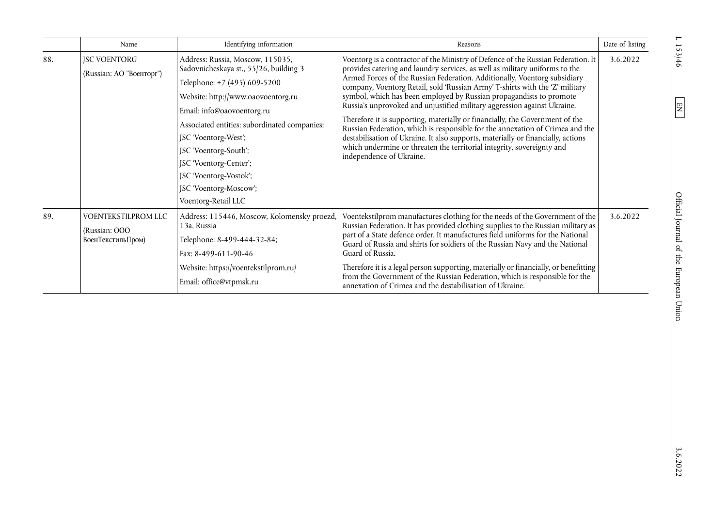|     | Name                                                      | Identifying information                                                                                                                                                                                                                                                                                                                                                              | Reasons                                                                                                                                                                                                                                                                                                                                                                                                                                                                                                                                                                                                                                                                                                                                                                                                                                     | Date of listing |
|-----|-----------------------------------------------------------|--------------------------------------------------------------------------------------------------------------------------------------------------------------------------------------------------------------------------------------------------------------------------------------------------------------------------------------------------------------------------------------|---------------------------------------------------------------------------------------------------------------------------------------------------------------------------------------------------------------------------------------------------------------------------------------------------------------------------------------------------------------------------------------------------------------------------------------------------------------------------------------------------------------------------------------------------------------------------------------------------------------------------------------------------------------------------------------------------------------------------------------------------------------------------------------------------------------------------------------------|-----------------|
| 88. | <b>JSC VOENTORG</b><br>(Russian: AO "Военторг")           | Address: Russia, Moscow, 115035,<br>Sadovnicheskaya st., 55/26, building 3<br>Telephone: +7 (495) 609-5200<br>Website: http://www.oaovoentorg.ru<br>Email: info@oaovoentorg.ru<br>Associated entities: subordinated companies:<br>JSC 'Voentorg-West';<br>JSC 'Voentorg-South';<br>JSC 'Voentorg-Center';<br>JSC 'Voentorg-Vostok';<br>JSC 'Voentorg-Moscow';<br>Voentorg-Retail LLC | Voentorg is a contractor of the Ministry of Defence of the Russian Federation. It<br>provides catering and laundry services, as well as military uniforms to the<br>Armed Forces of the Russian Federation. Additionally, Voentorg subsidiary<br>company, Voentorg Retail, sold 'Russian Army' T-shirts with the 'Z' military<br>symbol, which has been employed by Russian propagandists to promote<br>Russia's unprovoked and unjustified military aggression against Ukraine.<br>Therefore it is supporting, materially or financially, the Government of the<br>Russian Federation, which is responsible for the annexation of Crimea and the<br>destabilisation of Ukraine. It also supports, materially or financially, actions<br>which undermine or threaten the territorial integrity, sovereignty and<br>independence of Ukraine. | 3.6.2022        |
| 89. | VOENTEKSTILPROM LLC<br>(Russian: OOO<br>ВоенТекстильПром) | Address: 115446, Moscow, Kolomensky proezd,<br>13a, Russia<br>Telephone: 8-499-444-32-84;<br>Fax: 8-499-611-90-46<br>Website: https://voentekstilprom.ru/<br>Email: office@vtpmsk.ru                                                                                                                                                                                                 | Voentekstilprom manufactures clothing for the needs of the Government of the<br>Russian Federation. It has provided clothing supplies to the Russian military as<br>part of a State defence order. It manufactures field uniforms for the National<br>Guard of Russia and shirts for soldiers of the Russian Navy and the National<br>Guard of Russia.<br>Therefore it is a legal person supporting, materially or financially, or benefitting<br>from the Government of the Russian Federation, which is responsible for the<br>annexation of Crimea and the destabilisation of Ukraine.                                                                                                                                                                                                                                                   | 3.6.2022        |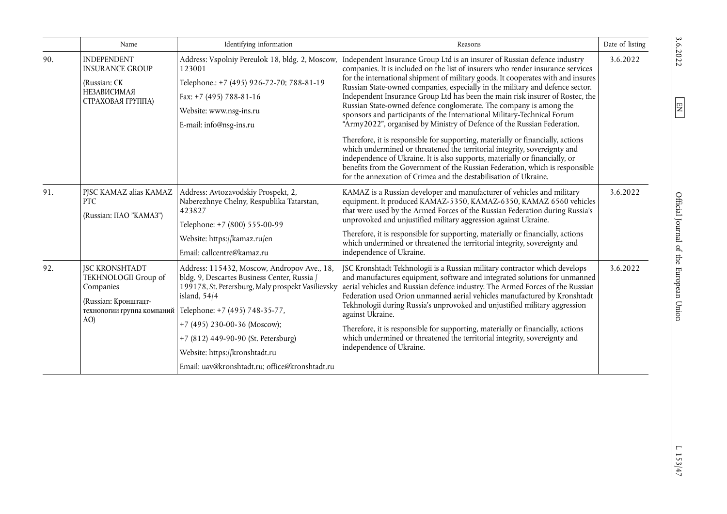|     | Name                                                                                                                    | Identifying information                                                                                                                                                                                                                                                                                                                                         | Reasons                                                                                                                                                                                                                                                                                                                                                                                                                                                                                                                                                                                                                                                                                                                                                                                                                                                                                                                                                                                                                                           | Date of listing |
|-----|-------------------------------------------------------------------------------------------------------------------------|-----------------------------------------------------------------------------------------------------------------------------------------------------------------------------------------------------------------------------------------------------------------------------------------------------------------------------------------------------------------|---------------------------------------------------------------------------------------------------------------------------------------------------------------------------------------------------------------------------------------------------------------------------------------------------------------------------------------------------------------------------------------------------------------------------------------------------------------------------------------------------------------------------------------------------------------------------------------------------------------------------------------------------------------------------------------------------------------------------------------------------------------------------------------------------------------------------------------------------------------------------------------------------------------------------------------------------------------------------------------------------------------------------------------------------|-----------------|
| 90. | <b>INDEPENDENT</b><br><b>INSURANCE GROUP</b><br>(Russian: CK<br>НЕЗАВИСИМАЯ<br>СТРАХОВАЯ ГРУППА)                        | Address: Vspolniy Pereulok 18, bldg. 2, Moscow,<br>123001<br>Telephone.: +7 (495) 926-72-70; 788-81-19<br>Fax: $+7$ (495) 788-81-16<br>Website: www.nsg-ins.ru<br>E-mail: info@nsg-ins.ru                                                                                                                                                                       | Independent Insurance Group Ltd is an insurer of Russian defence industry<br>companies. It is included on the list of insurers who render insurance services<br>for the international shipment of military goods. It cooperates with and insures<br>Russian State-owned companies, especially in the military and defence sector.<br>Independent Insurance Group Ltd has been the main risk insurer of Rostec, the<br>Russian State-owned defence conglomerate. The company is among the<br>sponsors and participants of the International Military-Technical Forum<br>"Army2022", organised by Ministry of Defence of the Russian Federation.<br>Therefore, it is responsible for supporting, materially or financially, actions<br>which undermined or threatened the territorial integrity, sovereignty and<br>independence of Ukraine. It is also supports, materially or financially, or<br>benefits from the Government of the Russian Federation, which is responsible<br>for the annexation of Crimea and the destabilisation of Ukraine. | 3.6.2022        |
| 91. | PJSC KAMAZ alias KAMAZ<br><b>PTC</b><br>(Russian: ΠΑΟ "ΚΑΜΑ3")                                                          | Address: Avtozavodskiy Prospekt, 2,<br>Naberezhnye Chelny, Respublika Tatarstan,<br>423827<br>Telephone: +7 (800) 555-00-99<br>Website: https://kamaz.ru/en<br>Email: callcentre@kamaz.ru                                                                                                                                                                       | KAMAZ is a Russian developer and manufacturer of vehicles and military<br>equipment. It produced KAMAZ-5350, KAMAZ-6350, KAMAZ 6560 vehicles<br>that were used by the Armed Forces of the Russian Federation during Russia's<br>unprovoked and unjustified military aggression against Ukraine.<br>Therefore, it is responsible for supporting, materially or financially, actions<br>which undermined or threatened the territorial integrity, sovereignty and<br>independence of Ukraine.                                                                                                                                                                                                                                                                                                                                                                                                                                                                                                                                                       | 3.6.2022        |
| 92. | <b>JSC KRONSHTADT</b><br>TEKHNOLOGII Group of<br>Companies<br>(Russian: Кронштадт-<br>технологии группа компаний<br>AO) | Address: 115432, Moscow, Andropov Ave., 18,<br>bldg. 9, Descartes Business Center, Russia /<br>199178, St. Petersburg, Maly prospekt Vasilievsky<br>island, $54/4$<br>Telephone: +7 (495) 748-35-77,<br>+7 (495) 230-00-36 (Moscow);<br>+7 (812) 449-90-90 (St. Petersburg)<br>Website: https://kronshtadt.ru<br>Email: uav@kronshtadt.ru; office@kronshtadt.ru | JSC Kronshtadt Tekhnologii is a Russian military contractor which develops<br>and manufactures equipment, software and integrated solutions for unmanned<br>aerial vehicles and Russian defence industry. The Armed Forces of the Russian<br>Federation used Orion unmanned aerial vehicles manufactured by Kronshtadt<br>Tekhnologii during Russia's unprovoked and unjustified military aggression<br>against Ukraine.<br>Therefore, it is responsible for supporting, materially or financially, actions<br>which undermined or threatened the territorial integrity, sovereignty and<br>independence of Ukraine.                                                                                                                                                                                                                                                                                                                                                                                                                              | 3.6.2022        |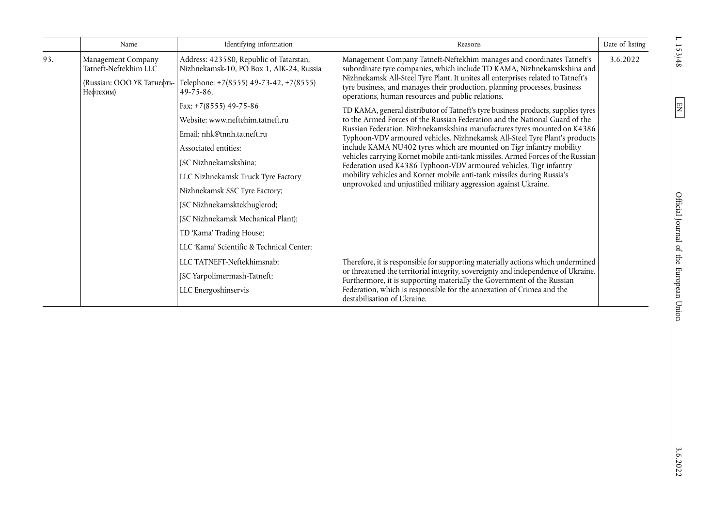|     | Name                                                                                   | Identifying information                                                                                                                                                                                                                                                                                                                                                                                                                                                                                               | Reasons                                                                                                                                                                                                                                                                                                                                                                                                                                                                                                                                                                                                                                                                                                                                                                                                                                                                                                                                                                                                                                                                            | Date of listing |
|-----|----------------------------------------------------------------------------------------|-----------------------------------------------------------------------------------------------------------------------------------------------------------------------------------------------------------------------------------------------------------------------------------------------------------------------------------------------------------------------------------------------------------------------------------------------------------------------------------------------------------------------|------------------------------------------------------------------------------------------------------------------------------------------------------------------------------------------------------------------------------------------------------------------------------------------------------------------------------------------------------------------------------------------------------------------------------------------------------------------------------------------------------------------------------------------------------------------------------------------------------------------------------------------------------------------------------------------------------------------------------------------------------------------------------------------------------------------------------------------------------------------------------------------------------------------------------------------------------------------------------------------------------------------------------------------------------------------------------------|-----------------|
| 93. | Management Company<br>Tatneft-Neftekhim LLC<br>(Russian: ООО УК Татнефть-<br>Нефтехим) | Address: 423580, Republic of Tatarstan,<br>Nizhnekamsk-10, PO Box 1, AIK-24, Russia<br>Telephone: +7(8555) 49-73-42, +7(8555)<br>$49 - 75 - 86$ ,<br>Fax: $+7(8555)$ 49-75-86<br>Website: www.neftehim.tatneft.ru<br>Email: nhk@tnnh.tatneft.ru<br>Associated entities:<br>JSC Nizhnekamskshina;<br>LLC Nizhnekamsk Truck Tyre Factory<br>Nizhnekamsk SSC Tyre Factory;<br>JSC Nizhnekamsktekhuglerod;<br>JSC Nizhnekamsk Mechanical Plant);<br>TD 'Kama' Trading House;<br>LLC 'Kama' Scientific & Technical Center; | Management Company Tatneft-Neftekhim manages and coordinates Tatneft's<br>subordinate tyre companies, which include TD KAMA, Nizhnekamskshina and<br>Nizhnekamsk All-Steel Tyre Plant. It unites all enterprises related to Tatneft's<br>tyre business, and manages their production, planning processes, business<br>operations, human resources and public relations.<br>TD KAMA, general distributor of Tatneft's tyre business products, supplies tyres<br>to the Armed Forces of the Russian Federation and the National Guard of the<br>Russian Federation. Nizhnekamskshina manufactures tyres mounted on K4386<br>Typhoon-VDV armoured vehicles. Nizhnekamsk All-Steel Tyre Plant's products<br>include KAMA NU402 tyres which are mounted on Tigr infantry mobility<br>vehicles carrying Kornet mobile anti-tank missiles. Armed Forces of the Russian<br>Federation used K4386 Typhoon-VDV armoured vehicles, Tigr infantry<br>mobility vehicles and Kornet mobile anti-tank missiles during Russia's<br>unprovoked and unjustified military aggression against Ukraine. | 3.6.2022        |
|     |                                                                                        | LLC TATNEFT-Neftekhimsnab;<br>JSC Yarpolimermash-Tatneft;<br>LLC Energoshinservis                                                                                                                                                                                                                                                                                                                                                                                                                                     | Therefore, it is responsible for supporting materially actions which undermined<br>or threatened the territorial integrity, sovereignty and independence of Ukraine.<br>Furthermore, it is supporting materially the Government of the Russian<br>Federation, which is responsible for the annexation of Crimea and the<br>destabilisation of Ukraine.                                                                                                                                                                                                                                                                                                                                                                                                                                                                                                                                                                                                                                                                                                                             |                 |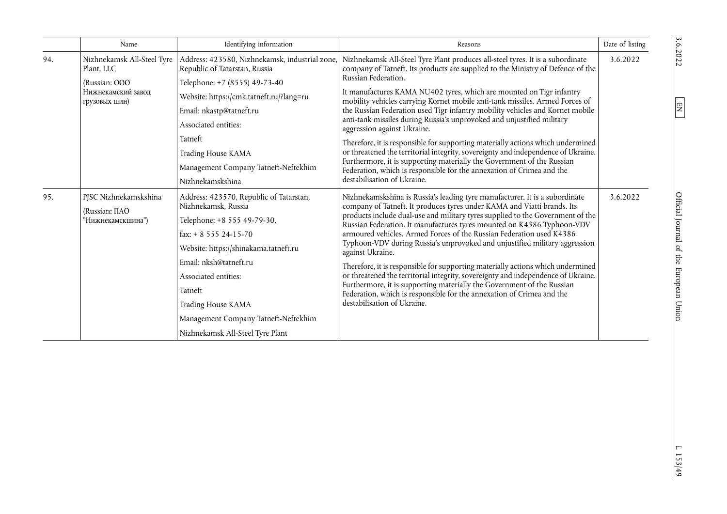|     | Name                                                      | Identifying information                                        | Reasons                                                                                                                                                                                                                                                                                                                                                                                                                                                                                                                                                                                                                                                                                                                                                                                                                                                                                                                                                                                                                                                                                                                                                                                                                                                                                                                                                                                                                                                                                                                                                                                                                                                                                                                        | Date of listing |
|-----|-----------------------------------------------------------|----------------------------------------------------------------|--------------------------------------------------------------------------------------------------------------------------------------------------------------------------------------------------------------------------------------------------------------------------------------------------------------------------------------------------------------------------------------------------------------------------------------------------------------------------------------------------------------------------------------------------------------------------------------------------------------------------------------------------------------------------------------------------------------------------------------------------------------------------------------------------------------------------------------------------------------------------------------------------------------------------------------------------------------------------------------------------------------------------------------------------------------------------------------------------------------------------------------------------------------------------------------------------------------------------------------------------------------------------------------------------------------------------------------------------------------------------------------------------------------------------------------------------------------------------------------------------------------------------------------------------------------------------------------------------------------------------------------------------------------------------------------------------------------------------------|-----------------|
| 94. | Nizhnekamsk All-Steel Tyre<br>Plant, LLC<br>(Russian: OOO | Republic of Tatarstan, Russia                                  |                                                                                                                                                                                                                                                                                                                                                                                                                                                                                                                                                                                                                                                                                                                                                                                                                                                                                                                                                                                                                                                                                                                                                                                                                                                                                                                                                                                                                                                                                                                                                                                                                                                                                                                                | 3.6.2022        |
|     |                                                           | Telephone: +7 (8555) 49-73-40                                  |                                                                                                                                                                                                                                                                                                                                                                                                                                                                                                                                                                                                                                                                                                                                                                                                                                                                                                                                                                                                                                                                                                                                                                                                                                                                                                                                                                                                                                                                                                                                                                                                                                                                                                                                |                 |
|     | Нижнекамский завоп<br>грузовых шин)                       | Website: https://cmk.tatneft.ru/?lang=ru                       |                                                                                                                                                                                                                                                                                                                                                                                                                                                                                                                                                                                                                                                                                                                                                                                                                                                                                                                                                                                                                                                                                                                                                                                                                                                                                                                                                                                                                                                                                                                                                                                                                                                                                                                                |                 |
|     |                                                           | Email: nkastp@tatneft.ru                                       | the Russian Federation used Tigr infantry mobility vehicles and Kornet mobile                                                                                                                                                                                                                                                                                                                                                                                                                                                                                                                                                                                                                                                                                                                                                                                                                                                                                                                                                                                                                                                                                                                                                                                                                                                                                                                                                                                                                                                                                                                                                                                                                                                  |                 |
|     |                                                           | Associated entities:                                           | Address: 423580, Nizhnekamsk, industrial zone,   Nizhnekamsk All-Steel Tyre Plant produces all-steel tyres. It is a subordinate<br>company of Tatneft. Its products are supplied to the Ministry of Defence of the<br>Russian Federation.<br>It manufactures KAMA NU402 tyres, which are mounted on Tigr infantry<br>mobility vehicles carrying Kornet mobile anti-tank missiles. Armed Forces of<br>anti-tank missiles during Russia's unprovoked and unjustified military<br>aggression against Ukraine.<br>Therefore, it is responsible for supporting materially actions which undermined<br>or threatened the territorial integrity, sovereignty and independence of Ukraine.<br>Furthermore, it is supporting materially the Government of the Russian<br>Federation, which is responsible for the annexation of Crimea and the<br>destabilisation of Ukraine.<br>Nizhnekamskshina is Russia's leading tyre manufacturer. It is a subordinate<br>company of Tatneft. It produces tyres under KAMA and Viatti brands. Its<br>products include dual-use and military tyres supplied to the Government of the<br>Russian Federation. It manufactures tyres mounted on K4386 Typhoon-VDV<br>armoured vehicles. Armed Forces of the Russian Federation used K4386<br>Typhoon-VDV during Russia's unprovoked and unjustified military aggression<br>against Ukraine.<br>Therefore, it is responsible for supporting materially actions which undermined<br>or threatened the territorial integrity, sovereignty and independence of Ukraine.<br>Furthermore, it is supporting materially the Government of the Russian<br>Federation, which is responsible for the annexation of Crimea and the<br>destabilisation of Ukraine. |                 |
|     |                                                           | Tatneft                                                        |                                                                                                                                                                                                                                                                                                                                                                                                                                                                                                                                                                                                                                                                                                                                                                                                                                                                                                                                                                                                                                                                                                                                                                                                                                                                                                                                                                                                                                                                                                                                                                                                                                                                                                                                |                 |
|     |                                                           | Trading House KAMA                                             |                                                                                                                                                                                                                                                                                                                                                                                                                                                                                                                                                                                                                                                                                                                                                                                                                                                                                                                                                                                                                                                                                                                                                                                                                                                                                                                                                                                                                                                                                                                                                                                                                                                                                                                                |                 |
|     |                                                           | Management Company Tatneft-Neftekhim                           |                                                                                                                                                                                                                                                                                                                                                                                                                                                                                                                                                                                                                                                                                                                                                                                                                                                                                                                                                                                                                                                                                                                                                                                                                                                                                                                                                                                                                                                                                                                                                                                                                                                                                                                                |                 |
|     |                                                           | Nizhnekamskshina                                               |                                                                                                                                                                                                                                                                                                                                                                                                                                                                                                                                                                                                                                                                                                                                                                                                                                                                                                                                                                                                                                                                                                                                                                                                                                                                                                                                                                                                                                                                                                                                                                                                                                                                                                                                |                 |
| 95. | PJSC Nizhnekamskshina                                     | Address: 423570, Republic of Tatarstan,<br>Nizhnekamsk, Russia |                                                                                                                                                                                                                                                                                                                                                                                                                                                                                                                                                                                                                                                                                                                                                                                                                                                                                                                                                                                                                                                                                                                                                                                                                                                                                                                                                                                                                                                                                                                                                                                                                                                                                                                                | 3.6.2022        |
|     | (Russian: ΠΑΟ<br>"Нижнекамскшина")                        | Telephone: +8 555 49-79-30,                                    |                                                                                                                                                                                                                                                                                                                                                                                                                                                                                                                                                                                                                                                                                                                                                                                                                                                                                                                                                                                                                                                                                                                                                                                                                                                                                                                                                                                                                                                                                                                                                                                                                                                                                                                                |                 |
|     |                                                           | $\text{fax:} + 8$ 555 24-15-70                                 |                                                                                                                                                                                                                                                                                                                                                                                                                                                                                                                                                                                                                                                                                                                                                                                                                                                                                                                                                                                                                                                                                                                                                                                                                                                                                                                                                                                                                                                                                                                                                                                                                                                                                                                                |                 |
|     |                                                           | Website: https://shinakama.tatneft.ru                          |                                                                                                                                                                                                                                                                                                                                                                                                                                                                                                                                                                                                                                                                                                                                                                                                                                                                                                                                                                                                                                                                                                                                                                                                                                                                                                                                                                                                                                                                                                                                                                                                                                                                                                                                |                 |
|     |                                                           | Email: nksh@tatneft.ru                                         |                                                                                                                                                                                                                                                                                                                                                                                                                                                                                                                                                                                                                                                                                                                                                                                                                                                                                                                                                                                                                                                                                                                                                                                                                                                                                                                                                                                                                                                                                                                                                                                                                                                                                                                                |                 |
|     |                                                           | Associated entities:                                           |                                                                                                                                                                                                                                                                                                                                                                                                                                                                                                                                                                                                                                                                                                                                                                                                                                                                                                                                                                                                                                                                                                                                                                                                                                                                                                                                                                                                                                                                                                                                                                                                                                                                                                                                |                 |
|     |                                                           | Tatneft                                                        |                                                                                                                                                                                                                                                                                                                                                                                                                                                                                                                                                                                                                                                                                                                                                                                                                                                                                                                                                                                                                                                                                                                                                                                                                                                                                                                                                                                                                                                                                                                                                                                                                                                                                                                                |                 |
|     |                                                           | Trading House KAMA                                             |                                                                                                                                                                                                                                                                                                                                                                                                                                                                                                                                                                                                                                                                                                                                                                                                                                                                                                                                                                                                                                                                                                                                                                                                                                                                                                                                                                                                                                                                                                                                                                                                                                                                                                                                |                 |
|     |                                                           | Management Company Tatneft-Neftekhim                           |                                                                                                                                                                                                                                                                                                                                                                                                                                                                                                                                                                                                                                                                                                                                                                                                                                                                                                                                                                                                                                                                                                                                                                                                                                                                                                                                                                                                                                                                                                                                                                                                                                                                                                                                |                 |
|     |                                                           | Nizhnekamsk All-Steel Tyre Plant                               |                                                                                                                                                                                                                                                                                                                                                                                                                                                                                                                                                                                                                                                                                                                                                                                                                                                                                                                                                                                                                                                                                                                                                                                                                                                                                                                                                                                                                                                                                                                                                                                                                                                                                                                                |                 |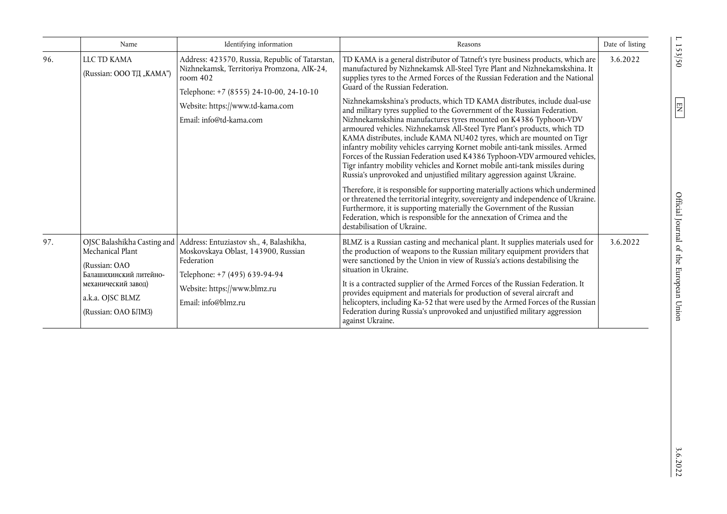| 96. | LLC TD KAMA                                                                                            |                                                                                                                                                                                                                     |                                                                                                                                                                                                                                                                                                                                                                                                                                                                                                                                                                                                                                                                                                                                                                                                                                                                                                                                                                                                                                                                                                                                                                                                                                              |          |
|-----|--------------------------------------------------------------------------------------------------------|---------------------------------------------------------------------------------------------------------------------------------------------------------------------------------------------------------------------|----------------------------------------------------------------------------------------------------------------------------------------------------------------------------------------------------------------------------------------------------------------------------------------------------------------------------------------------------------------------------------------------------------------------------------------------------------------------------------------------------------------------------------------------------------------------------------------------------------------------------------------------------------------------------------------------------------------------------------------------------------------------------------------------------------------------------------------------------------------------------------------------------------------------------------------------------------------------------------------------------------------------------------------------------------------------------------------------------------------------------------------------------------------------------------------------------------------------------------------------|----------|
|     | (Russian: OOO TI, "KAMA")                                                                              | Address: 423570, Russia, Republic of Tatarstan,<br>Nizhnekamsk, Territoriya Promzona, AIK-24,<br>room 402<br>Telephone: +7 (8555) 24-10-00, 24-10-10<br>Website: https://www.td-kama.com<br>Email: info@td-kama.com | TD KAMA is a general distributor of Tatneft's tyre business products, which are<br>manufactured by Nizhnekamsk All-Steel Tyre Plant and Nizhnekamskshina. It<br>supplies tyres to the Armed Forces of the Russian Federation and the National<br>Guard of the Russian Federation.<br>Nizhnekamskshina's products, which TD KAMA distributes, include dual-use<br>and military tyres supplied to the Government of the Russian Federation.<br>Nizhnekamskshina manufactures tyres mounted on K4386 Typhoon-VDV<br>armoured vehicles. Nizhnekamsk All-Steel Tyre Plant's products, which TD<br>KAMA distributes, include KAMA NU402 tyres, which are mounted on Tigr<br>infantry mobility vehicles carrying Kornet mobile anti-tank missiles. Armed<br>Forces of the Russian Federation used K4386 Typhoon-VDV armoured vehicles,<br>Tigr infantry mobility vehicles and Kornet mobile anti-tank missiles during<br>Russia's unprovoked and unjustified military aggression against Ukraine.<br>Therefore, it is responsible for supporting materially actions which undermined<br>or threatened the territorial integrity, sovereignty and independence of Ukraine.<br>Furthermore, it is supporting materially the Government of the Russian | 3.6.2022 |
| 97. | Mechanical Plant<br>(Russian: OAO<br>Балашихинский литейно-<br>механический завод)<br>a.k.a. OJSC BLMZ | OJSC Balashikha Casting and Address: Entuziastov sh., 4, Balashikha,<br>Moskovskaya Oblast, 143900, Russian<br>Federation<br>Telephone: +7 (495) 639-94-94<br>Website: https://www.blmz.ru<br>Email: info@blmz.ru   | Federation, which is responsible for the annexation of Crimea and the<br>destabilisation of Ukraine.<br>BLMZ is a Russian casting and mechanical plant. It supplies materials used for<br>the production of weapons to the Russian military equipment providers that<br>were sanctioned by the Union in view of Russia's actions destabilising the<br>situation in Ukraine.<br>It is a contracted supplier of the Armed Forces of the Russian Federation. It<br>provides equipment and materials for production of several aircraft and<br>helicopters, including Ka-52 that were used by the Armed Forces of the Russian<br>Federation during Russia's unprovoked and unjustified military aggression                                                                                                                                                                                                                                                                                                                                                                                                                                                                                                                                       | 3.6.2022 |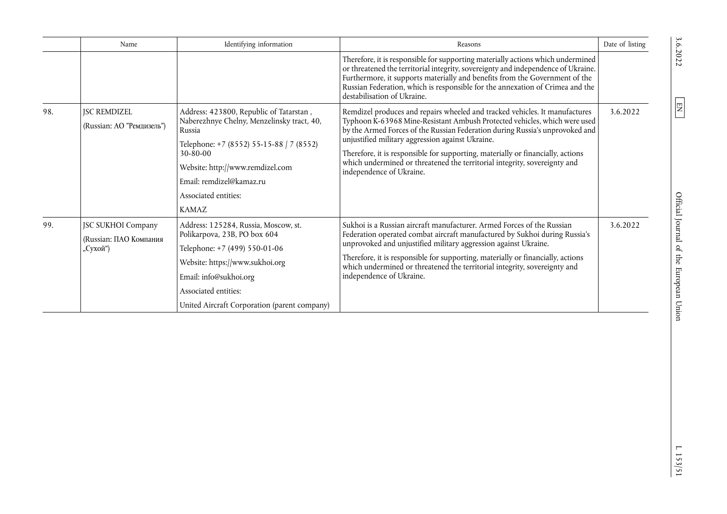|     | Name                               | Identifying information                                                               | Reasons                                                                                                                                                                                                                                                                                                                                                                                                                                                                                                                                                                                                                                                                                                                                                                                                                                      | Date of listing |
|-----|------------------------------------|---------------------------------------------------------------------------------------|----------------------------------------------------------------------------------------------------------------------------------------------------------------------------------------------------------------------------------------------------------------------------------------------------------------------------------------------------------------------------------------------------------------------------------------------------------------------------------------------------------------------------------------------------------------------------------------------------------------------------------------------------------------------------------------------------------------------------------------------------------------------------------------------------------------------------------------------|-----------------|
|     |                                    |                                                                                       | Therefore, it is responsible for supporting materially actions which undermined<br>or threatened the territorial integrity, sovereignty and independence of Ukraine.<br>Furthermore, it supports materially and benefits from the Government of the<br>Russian Federation, which is responsible for the annexation of Crimea and the<br>destabilisation of Ukraine.                                                                                                                                                                                                                                                                                                                                                                                                                                                                          |                 |
| 98. | <b>ISC REMDIZEL</b>                | Address: 423800, Republic of Tatarstan,<br>Naberezhnye Chelny, Menzelinsky tract, 40, | Remdizel produces and repairs wheeled and tracked vehicles. It manufactures                                                                                                                                                                                                                                                                                                                                                                                                                                                                                                                                                                                                                                                                                                                                                                  | 3.6.2022        |
|     | (Russian: АО "Ремдизель")          | Russia                                                                                | Typhoon K-63968 Mine-Resistant Ambush Protected vehicles, which were used<br>by the Armed Forces of the Russian Federation during Russia's unprovoked and<br>unjustified military aggression against Ukraine.<br>Therefore, it is responsible for supporting, materially or financially, actions<br>which undermined or threatened the territorial integrity, sovereignty and<br>independence of Ukraine.<br>Sukhoi is a Russian aircraft manufacturer. Armed Forces of the Russian<br>3.6.2022<br>Federation operated combat aircraft manufactured by Sukhoi during Russia's<br>unprovoked and unjustified military aggression against Ukraine.<br>Therefore, it is responsible for supporting, materially or financially, actions<br>which undermined or threatened the territorial integrity, sovereignty and<br>independence of Ukraine. |                 |
|     |                                    | Telephone: +7 (8552) 55-15-88   7 (8552)<br>$30 - 80 - 00$                            |                                                                                                                                                                                                                                                                                                                                                                                                                                                                                                                                                                                                                                                                                                                                                                                                                                              |                 |
|     |                                    | Website: http://www.remdizel.com                                                      |                                                                                                                                                                                                                                                                                                                                                                                                                                                                                                                                                                                                                                                                                                                                                                                                                                              |                 |
|     |                                    | Email: remdizel@kamaz.ru                                                              |                                                                                                                                                                                                                                                                                                                                                                                                                                                                                                                                                                                                                                                                                                                                                                                                                                              |                 |
|     |                                    | Associated entities:                                                                  |                                                                                                                                                                                                                                                                                                                                                                                                                                                                                                                                                                                                                                                                                                                                                                                                                                              |                 |
|     |                                    | <b>KAMAZ</b>                                                                          |                                                                                                                                                                                                                                                                                                                                                                                                                                                                                                                                                                                                                                                                                                                                                                                                                                              |                 |
| 99. | JSC SUKHOI Company                 | Address: 125284, Russia, Moscow, st.<br>Polikarpova, 23B, PO box 604                  |                                                                                                                                                                                                                                                                                                                                                                                                                                                                                                                                                                                                                                                                                                                                                                                                                                              |                 |
|     | (Russian: ПАО Компания<br>"Сухой") | Telephone: +7 (499) 550-01-06                                                         |                                                                                                                                                                                                                                                                                                                                                                                                                                                                                                                                                                                                                                                                                                                                                                                                                                              |                 |
|     |                                    | Website: https://www.sukhoi.org                                                       |                                                                                                                                                                                                                                                                                                                                                                                                                                                                                                                                                                                                                                                                                                                                                                                                                                              |                 |
|     |                                    | Email: info@sukhoi.org                                                                |                                                                                                                                                                                                                                                                                                                                                                                                                                                                                                                                                                                                                                                                                                                                                                                                                                              |                 |
|     |                                    | Associated entities:                                                                  |                                                                                                                                                                                                                                                                                                                                                                                                                                                                                                                                                                                                                                                                                                                                                                                                                                              |                 |
|     |                                    | United Aircraft Corporation (parent company)                                          |                                                                                                                                                                                                                                                                                                                                                                                                                                                                                                                                                                                                                                                                                                                                                                                                                                              |                 |